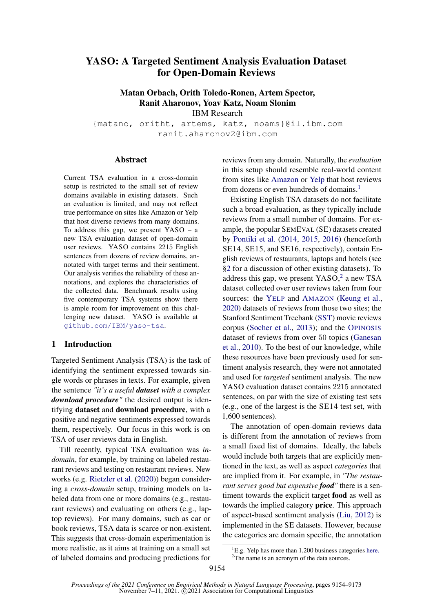# YASO: A Targeted Sentiment Analysis Evaluation Dataset for Open-Domain Reviews

Matan Orbach, Orith Toledo-Ronen, Artem Spector, Ranit Aharonov, Yoav Katz, Noam Slonim

IBM Research

{matano, oritht, artems, katz, noams}@il.ibm.com ranit.aharonov2@ibm.com

#### Abstract

Current TSA evaluation in a cross-domain setup is restricted to the small set of review domains available in existing datasets. Such an evaluation is limited, and may not reflect true performance on sites like Amazon or Yelp that host diverse reviews from many domains. To address this gap, we present YASO – a new TSA evaluation dataset of open-domain user reviews. YASO contains 2215 English sentences from dozens of review domains, annotated with target terms and their sentiment. Our analysis verifies the reliability of these annotations, and explores the characteristics of the collected data. Benchmark results using five contemporary TSA systems show there is ample room for improvement on this challenging new dataset. YASO is available at [github.com/IBM/yaso-tsa](https://github.com/IBM/yaso-tsa).

#### 1 Introduction

Targeted Sentiment Analysis (TSA) is the task of identifying the sentiment expressed towards single words or phrases in texts. For example, given the sentence *"it's a useful dataset with a complex download procedure"* the desired output is identifying dataset and download procedure, with a positive and negative sentiments expressed towards them, respectively. Our focus in this work is on TSA of user reviews data in English.

Till recently, typical TSA evaluation was *indomain*, for example, by training on labeled restaurant reviews and testing on restaurant reviews. New works (e.g. [Rietzler et al.](#page-10-0) [\(2020\)](#page-10-0)) began considering a *cross-domain* setup, training models on labeled data from one or more domains (e.g., restaurant reviews) and evaluating on others (e.g., laptop reviews). For many domains, such as car or book reviews, TSA data is scarce or non-existent. This suggests that cross-domain experimentation is more realistic, as it aims at training on a small set of labeled domains and producing predictions for

reviews from any domain. Naturally, the *evaluation* in this setup should resemble real-world content from sites like [Amazon](https://www.amazon.com/) or [Yelp](https://www.yelp.com/) that host reviews from dozens or even hundreds of domains.<sup>[1](#page-0-0)</sup>

Existing English TSA datasets do not facilitate such a broad evaluation, as they typically include reviews from a small number of domains. For example, the popular SEMEVAL (SE) datasets created by [Pontiki et al.](#page-10-1) [\(2014,](#page-10-1) [2015,](#page-10-2) [2016\)](#page-10-3) (henceforth SE14, SE15, and SE16, respectively), contain English reviews of restaurants, laptops and hotels (see [§2](#page-1-0) for a discussion of other existing datasets). To address this gap, we present YASO, [2](#page-0-1) a new TSA dataset collected over user reviews taken from four sources: the Y[ELP](https://www.yelp.com/dataset) and A[MAZON](https://registry.opendata.aws/amazon-reviews-ml) [\(Keung et al.,](#page-9-0) [2020\)](#page-9-0) datasets of reviews from those two sites; the Stanford Sentiment Treebank [\(SST\)](https://nlp.stanford.edu/sentiment) movie reviews corpus [\(Socher et al.,](#page-11-0) [2013\)](#page-11-0); and the O[PINOSIS](https://github.com/kavgan/opinosis-summarization) dataset of reviews from over 50 topics [\(Ganesan](#page-9-1) [et al.,](#page-9-1) [2010\)](#page-9-1). To the best of our knowledge, while these resources have been previously used for sentiment analysis research, they were not annotated and used for *targeted* sentiment analysis. The new YASO evaluation dataset contains 2215 annotated sentences, on par with the size of existing test sets (e.g., one of the largest is the SE14 test set, with 1,600 sentences).

The annotation of open-domain reviews data is different from the annotation of reviews from a small fixed list of domains. Ideally, the labels would include both targets that are explicitly mentioned in the text, as well as aspect *categories* that are implied from it. For example, in *"The restaurant serves good but expensive food"* there is a sentiment towards the explicit target food as well as towards the implied category price. This approach of aspect-based sentiment analysis [\(Liu,](#page-10-4) [2012\)](#page-10-4) is implemented in the SE datasets. However, because the categories are domain specific, the annotation

<span id="page-0-0"></span> ${}^{1}E.g.$  Yelp has more than 1,200 business categories [here.](https://blog.yelp.com/2018/01/yelp_category_list)

<span id="page-0-1"></span><sup>&</sup>lt;sup>2</sup>The name is an acronym of the data sources.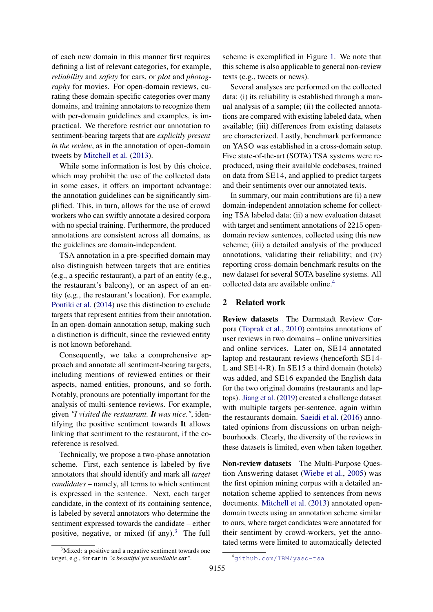of each new domain in this manner first requires defining a list of relevant categories, for example, *reliability* and *safety* for cars, or *plot* and *photography* for movies. For open-domain reviews, curating these domain-specific categories over many domains, and training annotators to recognize them with per-domain guidelines and examples, is impractical. We therefore restrict our annotation to sentiment-bearing targets that are *explicitly present in the review*, as in the annotation of open-domain tweets by [Mitchell et al.](#page-10-5) [\(2013\)](#page-10-5).

While some information is lost by this choice, which may prohibit the use of the collected data in some cases, it offers an important advantage: the annotation guidelines can be significantly simplified. This, in turn, allows for the use of crowd workers who can swiftly annotate a desired corpora with no special training. Furthermore, the produced annotations are consistent across all domains, as the guidelines are domain-independent.

TSA annotation in a pre-specified domain may also distinguish between targets that are entities (e.g., a specific restaurant), a part of an entity (e.g., the restaurant's balcony), or an aspect of an entity (e.g., the restaurant's location). For example, [Pontiki et al.](#page-10-1) [\(2014\)](#page-10-1) use this distinction to exclude targets that represent entities from their annotation. In an open-domain annotation setup, making such a distinction is difficult, since the reviewed entity is not known beforehand.

Consequently, we take a comprehensive approach and annotate all sentiment-bearing targets, including mentions of reviewed entities or their aspects, named entities, pronouns, and so forth. Notably, pronouns are potentially important for the analysis of multi-sentence reviews. For example, given *"I visited the restaurant. It was nice."*, identifying the positive sentiment towards It allows linking that sentiment to the restaurant, if the coreference is resolved.

Technically, we propose a two-phase annotation scheme. First, each sentence is labeled by five annotators that should identify and mark all *target candidates* – namely, all terms to which sentiment is expressed in the sentence. Next, each target candidate, in the context of its containing sentence, is labeled by several annotators who determine the sentiment expressed towards the candidate – either positive, negative, or mixed (if any).<sup>[3](#page-1-1)</sup> The full scheme is exemplified in Figure [1.](#page-2-0) We note that this scheme is also applicable to general non-review texts (e.g., tweets or news).

Several analyses are performed on the collected data: (i) its reliability is established through a manual analysis of a sample; (ii) the collected annotations are compared with existing labeled data, when available; (iii) differences from existing datasets are characterized. Lastly, benchmark performance on YASO was established in a cross-domain setup. Five state-of-the-art (SOTA) TSA systems were reproduced, using their available codebases, trained on data from SE14, and applied to predict targets and their sentiments over our annotated texts.

In summary, our main contributions are (i) a new domain-independent annotation scheme for collecting TSA labeled data; (ii) a new evaluation dataset with target and sentiment annotations of 2215 opendomain review sentences, collected using this new scheme; (iii) a detailed analysis of the produced annotations, validating their reliability; and (iv) reporting cross-domain benchmark results on the new dataset for several SOTA baseline systems. All collected data are available online.<sup>[4](#page-1-2)</sup>

### <span id="page-1-0"></span>2 Related work

Review datasets The Darmstadt Review Corpora [\(Toprak et al.,](#page-11-1) [2010\)](#page-11-1) contains annotations of user reviews in two domains – online universities and online services. Later on, SE14 annotated laptop and restaurant reviews (henceforth SE14- L and SE14-R). In SE15 a third domain (hotels) was added, and SE16 expanded the English data for the two original domains (restaurants and laptops). [Jiang et al.](#page-9-2) [\(2019\)](#page-9-2) created a challenge dataset with multiple targets per-sentence, again within the restaurants domain. [Saeidi et al.](#page-10-6) [\(2016\)](#page-10-6) annotated opinions from discussions on urban neighbourhoods. Clearly, the diversity of the reviews in these datasets is limited, even when taken together.

Non-review datasets The Multi-Purpose Question Answering dataset [\(Wiebe et al.,](#page-11-2) [2005\)](#page-11-2) was the first opinion mining corpus with a detailed annotation scheme applied to sentences from news documents. [Mitchell et al.](#page-10-5) [\(2013\)](#page-10-5) annotated opendomain tweets using an annotation scheme similar to ours, where target candidates were annotated for their sentiment by crowd-workers, yet the annotated terms were limited to automatically detected

<span id="page-1-1"></span> $3$ Mixed: a positive and a negative sentiment towards one target, e.g., for car in *"a beautiful yet unreliable car"*.

<span id="page-1-2"></span><sup>4</sup>[github.com/IBM/yaso-tsa](https://github.com/IBM/yaso-tsa)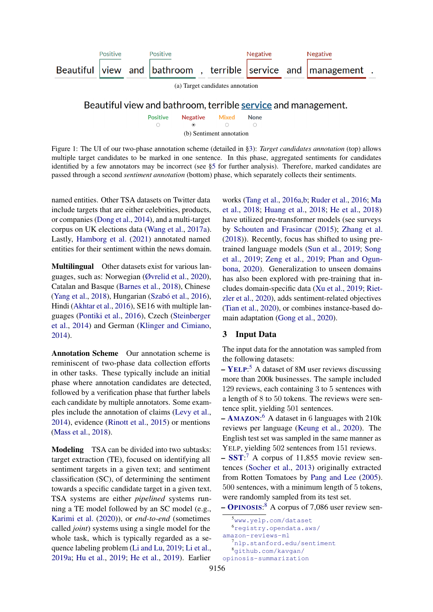<span id="page-2-7"></span><span id="page-2-6"></span><span id="page-2-0"></span>

**Positive Negative** Mixed **None**  $\circ$  $\circ$  $\circ$  $\circ$ (b) Sentiment annotation

Figure 1: The UI of our two-phase annotation scheme (detailed in [§3\)](#page-2-1): *Target candidates annotation* (top) allows multiple target candidates to be marked in one sentence. In this phase, aggregated sentiments for candidates identified by a few annotators may be incorrect (see [§5](#page-4-0) for further analysis). Therefore, marked candidates are passed through a second *sentiment annotation* (bottom) phase, which separately collects their sentiments.

named entities. Other TSA datasets on Twitter data include targets that are either celebrities, products, or companies [\(Dong et al.,](#page-9-3) [2014\)](#page-9-3), and a multi-target corpus on UK elections data [\(Wang et al.,](#page-11-3) [2017a\)](#page-11-3). Lastly, [Hamborg et al.](#page-9-4) [\(2021\)](#page-9-4) annotated named entities for their sentiment within the news domain.

Multilingual Other datasets exist for various languages, such as: Norwegian [\(Øvrelid et al.,](#page-10-7) [2020\)](#page-10-7), Catalan and Basque [\(Barnes et al.,](#page-8-0) [2018\)](#page-8-0), Chinese [\(Yang et al.,](#page-11-4) [2018\)](#page-11-4), Hungarian [\(Szabó et al.,](#page-11-5) [2016\)](#page-11-5), Hindi [\(Akhtar et al.,](#page-8-1) [2016\)](#page-8-1), SE16 with multiple languages [\(Pontiki et al.,](#page-10-3) [2016\)](#page-10-3), Czech [\(Steinberger](#page-11-6) [et al.,](#page-11-6) [2014\)](#page-11-6) and German [\(Klinger and Cimiano,](#page-9-5) [2014\)](#page-9-5).

Annotation Scheme Our annotation scheme is reminiscent of two-phase data collection efforts in other tasks. These typically include an initial phase where annotation candidates are detected, followed by a verification phase that further labels each candidate by multiple annotators. Some examples include the annotation of claims [\(Levy et al.,](#page-9-6) [2014\)](#page-9-6), evidence [\(Rinott et al.,](#page-10-8) [2015\)](#page-10-8) or mentions [\(Mass et al.,](#page-10-9) [2018\)](#page-10-9).

Modeling TSA can be divided into two subtasks: target extraction (TE), focused on identifying all sentiment targets in a given text; and sentiment classification (SC), of determining the sentiment towards a specific candidate target in a given text. TSA systems are either *pipelined* systems running a TE model followed by an SC model (e.g., [Karimi et al.](#page-9-7) [\(2020\)](#page-9-7)), or *end-to-end* (sometimes called *joint*) systems using a single model for the whole task, which is typically regarded as a sequence labeling problem [\(Li and Lu,](#page-9-8) [2019;](#page-9-8) [Li et al.,](#page-9-9) [2019a;](#page-9-9) [Hu et al.,](#page-9-10) [2019;](#page-9-10) [He et al.,](#page-9-11) [2019\)](#page-9-11). Earlier

works [\(Tang et al.,](#page-11-7) [2016a](#page-11-7)[,b;](#page-11-8) [Ruder et al.,](#page-10-10) [2016;](#page-10-10) [Ma](#page-10-11) [et al.,](#page-10-11) [2018;](#page-10-11) [Huang et al.,](#page-9-12) [2018;](#page-9-12) [He et al.,](#page-9-13) [2018\)](#page-9-13) have utilized pre-transformer models (see surveys by [Schouten and Frasincar](#page-10-12) [\(2015\)](#page-10-12); [Zhang et al.](#page-12-0) [\(2018\)](#page-12-0)). Recently, focus has shifted to using pretrained language models [\(Sun et al.,](#page-11-9) [2019;](#page-11-9) [Song](#page-11-10) [et al.,](#page-11-10) [2019;](#page-11-10) [Zeng et al.,](#page-12-1) [2019;](#page-12-1) [Phan and Ogun](#page-10-13)[bona,](#page-10-13) [2020\)](#page-10-13). Generalization to unseen domains has also been explored with pre-training that includes domain-specific data [\(Xu et al.,](#page-11-11) [2019;](#page-11-11) [Riet](#page-10-0)[zler et al.,](#page-10-0) [2020\)](#page-10-0), adds sentiment-related objectives [\(Tian et al.,](#page-11-12) [2020\)](#page-11-12), or combines instance-based domain adaptation [\(Gong et al.,](#page-9-14) [2020\)](#page-9-14).

#### <span id="page-2-1"></span>3 Input Data

The input data for the annotation was sampled from the following datasets:

- *–* Y[ELP](https://www.yelp.com/dataset): [5](#page-2-2) A dataset of 8M user reviews discussing more than 200k businesses. The sample included 129 reviews, each containing 3 to 5 sentences with a length of 8 to 50 tokens. The reviews were sentence split, yielding 501 sentences.
- *–* A[MAZON](https://registry.opendata.aws/amazon-reviews-ml): [6](#page-2-3) A dataset in 6 languages with 210k reviews per language [\(Keung et al.,](#page-9-0) [2020\)](#page-9-0). The English test set was sampled in the same manner as YELP, yielding 502 sentences from 151 reviews.
- *–* [SST](https://nlp.stanford.edu/sentiment): [7](#page-2-4) A corpus of 11,855 movie review sentences [\(Socher et al.,](#page-11-0) [2013\)](#page-11-0) originally extracted from Rotten Tomatoes by [Pang and Lee](#page-10-14) [\(2005\)](#page-10-14). 500 sentences, with a minimum length of 5 tokens, were randomly sampled from its test set.

*–* O[PINOSIS](https://github.com/kavgan/opinosis-summarization): [8](#page-2-5) A corpus of 7,086 user review sen-

<span id="page-2-2"></span><sup>5</sup>[www.yelp.com/dataset](https://www.yelp.com/dataset)

<span id="page-2-3"></span> $6$ reqistry.opendata.aws/

[amazon-reviews-ml](https://registry.opendata.aws/amazon-reviews-ml)

<span id="page-2-5"></span><span id="page-2-4"></span><sup>7</sup>[nlp.stanford.edu/sentiment](https://nlp.stanford.edu/sentiment) <sup>8</sup>[github.com/kavgan/](https://github.com/kavgan/opinosis-summarization)

[opinosis-summarization](https://github.com/kavgan/opinosis-summarization)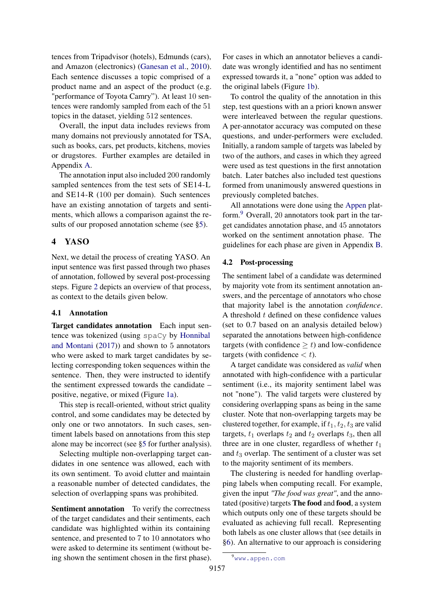tences from Tripadvisor (hotels), Edmunds (cars), and Amazon (electronics) [\(Ganesan et al.,](#page-9-1) [2010\)](#page-9-1). Each sentence discusses a topic comprised of a product name and an aspect of the product (e.g. "performance of Toyota Camry"). At least 10 sentences were randomly sampled from each of the 51 topics in the dataset, yielding 512 sentences.

Overall, the input data includes reviews from many domains not previously annotated for TSA, such as books, cars, pet products, kitchens, movies or drugstores. Further examples are detailed in Appendix [A.](#page-12-2)

The annotation input also included 200 randomly sampled sentences from the test sets of SE14-L and SE14-R (100 per domain). Such sentences have an existing annotation of targets and sentiments, which allows a comparison against the re-sults of our proposed annotation scheme (see [§5\)](#page-4-0).

## <span id="page-3-1"></span>4 YASO

Next, we detail the process of creating YASO. An input sentence was first passed through two phases of annotation, followed by several post-processing steps. Figure [2](#page-4-1) depicts an overview of that process, as context to the details given below.

#### 4.1 Annotation

Target candidates annotation Each input sentence was tokenized (using spaCy by [Honnibal](#page-9-15) [and Montani](#page-9-15) [\(2017\)](#page-9-15)) and shown to 5 annotators who were asked to mark target candidates by selecting corresponding token sequences within the sentence. Then, they were instructed to identify the sentiment expressed towards the candidate – positive, negative, or mixed (Figure [1a\)](#page-2-6).

This step is recall-oriented, without strict quality control, and some candidates may be detected by only one or two annotators. In such cases, sentiment labels based on annotations from this step alone may be incorrect (see [§5](#page-4-0) for further analysis).

Selecting multiple non-overlapping target candidates in one sentence was allowed, each with its own sentiment. To avoid clutter and maintain a reasonable number of detected candidates, the selection of overlapping spans was prohibited.

Sentiment annotation To verify the correctness of the target candidates and their sentiments, each candidate was highlighted within its containing sentence, and presented to 7 to 10 annotators who were asked to determine its sentiment (without being shown the sentiment chosen in the first phase). For cases in which an annotator believes a candidate was wrongly identified and has no sentiment expressed towards it, a "none" option was added to the original labels (Figure [1b\)](#page-2-7).

To control the quality of the annotation in this step, test questions with an a priori known answer were interleaved between the regular questions. A per-annotator accuracy was computed on these questions, and under-performers were excluded. Initially, a random sample of targets was labeled by two of the authors, and cases in which they agreed were used as test questions in the first annotation batch. Later batches also included test questions formed from unanimously answered questions in previously completed batches.

All annotations were done using the [Appen](www.appen.com) platform.[9](#page-3-0) Overall, 20 annotators took part in the target candidates annotation phase, and 45 annotators worked on the sentiment annotation phase. The guidelines for each phase are given in Appendix [B.](#page-12-3)

#### 4.2 Post-processing

The sentiment label of a candidate was determined by majority vote from its sentiment annotation answers, and the percentage of annotators who chose that majority label is the annotation *confidence*. A threshold  $t$  defined on these confidence values (set to 0.7 based on an analysis detailed below) separated the annotations between high-confidence targets (with confidence  $\geq t$ ) and low-confidence targets (with confidence  $\lt t$ ).

A target candidate was considered as *valid* when annotated with high-confidence with a particular sentiment (i.e., its majority sentiment label was not "none"). The valid targets were clustered by considering overlapping spans as being in the same cluster. Note that non-overlapping targets may be clustered together, for example, if  $t_1, t_2, t_3$  are valid targets,  $t_1$  overlaps  $t_2$  and  $t_2$  overlaps  $t_3$ , then all three are in one cluster, regardless of whether  $t_1$ and  $t_3$  overlap. The sentiment of a cluster was set to the majority sentiment of its members.

The clustering is needed for handling overlapping labels when computing recall. For example, given the input *"The food was great"*, and the annotated (positive) targets The food and food, a system which outputs only one of these targets should be evaluated as achieving full recall. Representing both labels as one cluster allows that (see details in [§6\)](#page-6-0). An alternative to our approach is considering

<span id="page-3-0"></span><sup>9</sup>[www.appen.com](https://www.appen.com)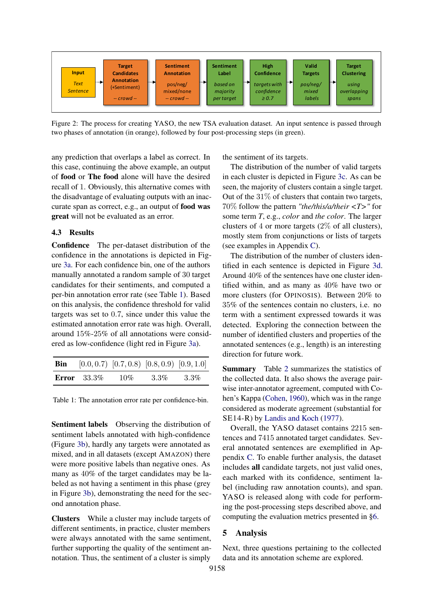<span id="page-4-1"></span>

Figure 2: The process for creating YASO, the new TSA evaluation dataset. An input sentence is passed through two phases of annotation (in orange), followed by four post-processing steps (in green).

any prediction that overlaps a label as correct. In this case, continuing the above example, an output of food or The food alone will have the desired recall of 1. Obviously, this alternative comes with the disadvantage of evaluating outputs with an inaccurate span as correct, e.g., an output of food was great will not be evaluated as an error.

#### 4.3 Results

Confidence The per-dataset distribution of the confidence in the annotations is depicted in Figure [3a.](#page-5-0) For each confidence bin, one of the authors manually annotated a random sample of 30 target candidates for their sentiments, and computed a per-bin annotation error rate (see Table [1\)](#page-4-2). Based on this analysis, the confidence threshold for valid targets was set to 0.7, since under this value the estimated annotation error rate was high. Overall, around 15%-25% of all annotations were considered as low-confidence (light red in Figure [3a\)](#page-5-0).

<span id="page-4-2"></span>

|                | <b>Bin</b> [0.0, 0.7) [0.7, 0.8) [0.8, 0.9) [0.9, 1.0] |         |         |
|----------------|--------------------------------------------------------|---------|---------|
| Error $33.3\%$ | 10%                                                    | $3.3\%$ | $3.3\%$ |

Table 1: The annotation error rate per confidence-bin.

Sentiment labels Observing the distribution of sentiment labels annotated with high-confidence (Figure [3b\)](#page-5-1), hardly any targets were annotated as mixed, and in all datasets (except AMAZON) there were more positive labels than negative ones. As many as 40% of the target candidates may be labeled as not having a sentiment in this phase (grey in Figure [3b\)](#page-5-1), demonstrating the need for the second annotation phase.

Clusters While a cluster may include targets of different sentiments, in practice, cluster members were always annotated with the same sentiment, further supporting the quality of the sentiment annotation. Thus, the sentiment of a cluster is simply

the sentiment of its targets.

The distribution of the number of valid targets in each cluster is depicted in Figure [3c.](#page-5-2) As can be seen, the majority of clusters contain a single target. Out of the  $31\%$  of clusters that contain two targets, 70% follow the pattern *"the/this/a/their <T>"* for some term *T*, e.g., *color* and *the color*. The larger clusters of 4 or more targets (2% of all clusters), mostly stem from conjunctions or lists of targets (see examples in Appendix [C\)](#page-16-0).

The distribution of the number of clusters identified in each sentence is depicted in Figure [3d.](#page-5-3) Around 40% of the sentences have one cluster identified within, and as many as 40% have two or more clusters (for OPINOSIS). Between 20% to 35% of the sentences contain no clusters, i.e. no term with a sentiment expressed towards it was detected. Exploring the connection between the number of identified clusters and properties of the annotated sentences (e.g., length) is an interesting direction for future work.

Summary Table [2](#page-5-4) summarizes the statistics of the collected data. It also shows the average pairwise inter-annotator agreement, computed with Cohen's Kappa [\(Cohen,](#page-9-16) [1960\)](#page-9-16), which was in the range considered as moderate agreement (substantial for SE14-R) by [Landis and Koch](#page-9-17) [\(1977\)](#page-9-17).

Overall, the YASO dataset contains 2215 sentences and 7415 annotated target candidates. Several annotated sentences are exemplified in Appendix [C.](#page-16-0) To enable further analysis, the dataset includes all candidate targets, not just valid ones, each marked with its confidence, sentiment label (including raw annotation counts), and span. YASO is released along with code for performing the post-processing steps described above, and computing the evaluation metrics presented in [§6.](#page-6-0)

#### <span id="page-4-0"></span>5 Analysis

Next, three questions pertaining to the collected data and its annotation scheme are explored.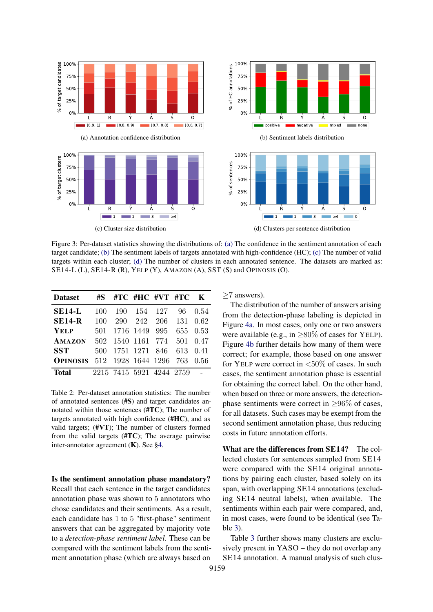<span id="page-5-2"></span><span id="page-5-0"></span>

Figure 3: Per-dataset statistics showing the distributions of: [\(a\)](#page-5-0) The confidence in the sentiment annotation of each target candidate; [\(b\)](#page-5-1) The sentiment labels of targets annotated with high-confidence (HC); [\(c\)](#page-5-2) The number of valid targets within each cluster; [\(d\)](#page-5-3) The number of clusters in each annotated sentence. The datasets are marked as: SE14-L (L), SE14-R (R), YELP (Y), AMAZON (A), SST (S) and OPINOSIS (O).

<span id="page-5-4"></span>

| <b>Dataset</b>  | #S —  |      | $\#TC$ #HC $\#VT$ #TC $K$ |     |     |      |
|-----------------|-------|------|---------------------------|-----|-----|------|
| <b>SE14-L</b>   | 100   | 190- | 154                       | 127 | 96  | 0.54 |
| <b>SE14-R</b>   | 100   | 290  | 242                       | 206 | 131 | 0.62 |
| <b>YELP</b>     | 501   |      | 1716 1449                 | 995 | 655 | 0.53 |
| AMAZON          | 502 - |      | 1540 1161                 | 774 | 501 | 0.47 |
| <b>SST</b>      | 500   |      | 1751 1271 846             |     | 613 | 0.41 |
| <b>OPINOSIS</b> | 512   |      | 1928 1644 1296            |     | 763 | 0.56 |
| Total           |       |      | 2215 7415 5921 4244 2759  |     |     |      |

Table 2: Per-dataset annotation statistics: The number of annotated sentences (#S) and target candidates annotated within those sentences (#TC); The number of targets annotated with high confidence (#HC), and as valid targets; (#VT); The number of clusters formed from the valid targets (#TC); The average pairwise inter-annotator agreement (K). See [§4.](#page-3-1)

Is the sentiment annotation phase mandatory? Recall that each sentence in the target candidates annotation phase was shown to 5 annotators who chose candidates and their sentiments. As a result, each candidate has 1 to 5 "first-phase" sentiment answers that can be aggregated by majority vote to a *detection-phase sentiment label*. These can be compared with the sentiment labels from the sentiment annotation phase (which are always based on

<span id="page-5-3"></span><span id="page-5-1"></span>≥7 answers).

The distribution of the number of answers arising from the detection-phase labeling is depicted in Figure [4a.](#page-6-1) In most cases, only one or two answers were available (e.g., in  $\geq 80\%$  of cases for YELP). Figure [4b](#page-6-2) further details how many of them were correct; for example, those based on one answer for YELP were correct in  $< 50\%$  of cases. In such cases, the sentiment annotation phase is essential for obtaining the correct label. On the other hand, when based on three or more answers, the detectionphase sentiments were correct in  $>96\%$  of cases, for all datasets. Such cases may be exempt from the second sentiment annotation phase, thus reducing costs in future annotation efforts.

What are the differences from SE14? The collected clusters for sentences sampled from SE14 were compared with the SE14 original annotations by pairing each cluster, based solely on its span, with overlapping SE14 annotations (excluding SE14 neutral labels), when available. The sentiments within each pair were compared, and, in most cases, were found to be identical (see Table [3\)](#page-6-3).

Table [3](#page-6-3) further shows many clusters are exclusively present in YASO – they do not overlap any SE14 annotation. A manual analysis of such clus-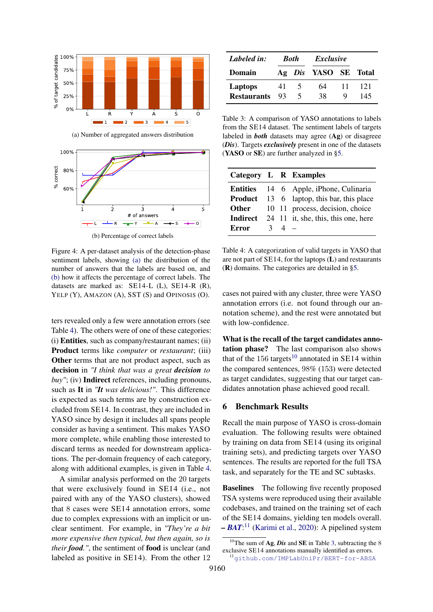<span id="page-6-1"></span>

<span id="page-6-2"></span>

(a) Number of aggregated answers distribution

Figure 4: A per-dataset analysis of the detection-phase sentiment labels, showing [\(a\)](#page-6-1) the distribution of the number of answers that the labels are based on, and [\(b\)](#page-6-2) how it affects the percentage of correct labels. The datasets are marked as: SE14-L (L), SE14-R (R), YELP (Y), AMAZON (A), SST (S) and OPINOSIS (O).

ters revealed only a few were annotation errors (see Table [4\)](#page-6-4). The others were of one of these categories: (i) Entities, such as company/restaurant names; (ii) Product terms like *computer* or *restaurant*; (iii) Other terms that are not product aspect, such as decision in *"I think that was a great decision to buy"*; (iv) Indirect references, including pronouns, such as It in *"It was delicious!"*. This difference is expected as such terms are by construction excluded from SE14. In contrast, they are included in YASO since by design it includes all spans people consider as having a sentiment. This makes YASO more complete, while enabling those interested to discard terms as needed for downstream applications. The per-domain frequency of each category, along with additional examples, is given in Table [4.](#page-6-4)

A similar analysis performed on the 20 targets that were exclusively found in SE14 (i.e., not paired with any of the YASO clusters), showed that 8 cases were SE14 annotation errors, some due to complex expressions with an implicit or unclear sentiment. For example, in *"They're a bit more expensive then typical, but then again, so is their food."*, the sentiment of food is unclear (and labeled as positive in SE14). From the other 12

<span id="page-6-3"></span>

| 41   |  | 64          | 11 | 121                                      |  |
|------|--|-------------|----|------------------------------------------|--|
| - 93 |  | 38          |    | 145                                      |  |
|      |  | <b>Both</b> |    | <i>Exclusive</i><br>Ag Dis YASO SE Total |  |

Table 3: A comparison of YASO annotations to labels from the SE14 dataset. The sentiment labels of targets labeled in *both* datasets may agree (Ag) or disagreee (*Dis*). Targets *exclusively* present in one of the datasets (YASO or SE) are further analyzed in [§5.](#page-4-0)

<span id="page-6-4"></span>

|       |               |              | Category L R Examples                               |
|-------|---------------|--------------|-----------------------------------------------------|
|       |               |              | <b>Entities</b> 14 6 Apple, iPhone, Culinaria       |
|       |               |              | <b>Product</b> 13 6 laptop, this bar, this place    |
|       |               |              | <b>Other</b> 10 11 process, decision, choice        |
|       |               |              | <b>Indirect</b> 24 11 it, she, this, this one, here |
| Error | $\mathcal{R}$ | $\Delta$ $-$ |                                                     |

Table 4: A categorization of valid targets in YASO that are not part of SE14, for the laptops (L) and restaurants (R) domains. The categories are detailed in [§5.](#page-4-0)

cases not paired with any cluster, three were YASO annotation errors (i.e. not found through our annotation scheme), and the rest were annotated but with low-confidence.

What is the recall of the target candidates annotation phase? The last comparison also shows that of the  $156$  targets<sup>[10](#page-6-5)</sup> annotated in SE14 within the compared sentences, 98% (153) were detected as target candidates, suggesting that our target candidates annotation phase achieved good recall.

#### <span id="page-6-0"></span>6 Benchmark Results

Recall the main purpose of YASO is cross-domain evaluation. The following results were obtained by training on data from SE14 (using its original training sets), and predicting targets over YASO sentences. The results are reported for the full TSA task, and separately for the TE and SC subtasks.

Baselines The following five recently proposed TSA systems were reproduced using their available codebases, and trained on the training set of each of the SE14 domains, yielding ten models overall. *– [BAT](https://github.com/IMPLabUniPr/BERT-for-ABSA)*: [11](#page-6-6) [\(Karimi et al.,](#page-9-7) [2020\)](#page-9-7): A pipelined system

<span id="page-6-5"></span><sup>&</sup>lt;sup>10</sup>The sum of **Ag**, *Dis* and **SE** in Table [3,](#page-6-3) subtracting the 8 exclusive SE14 annotations manually identified as errors.

<span id="page-6-6"></span><sup>11</sup>[github.com/IMPLabUniPr/BERT-for-ABSA](https://github.com/IMPLabUniPr/BERT-for-ABSA)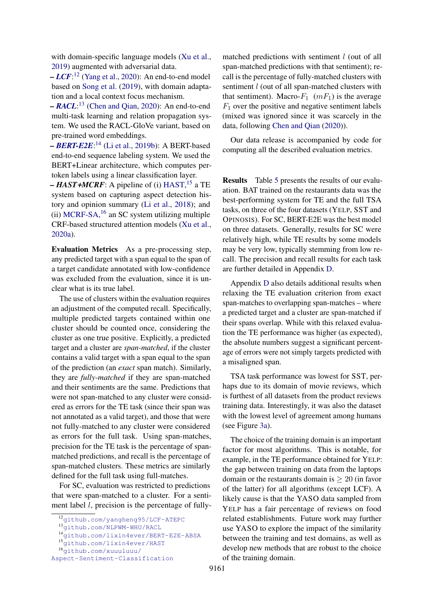with domain-specific language models [\(Xu et al.,](#page-11-11) [2019\)](#page-11-11) augmented with adversarial data.

*– [LCF](https://github.com/yangheng95/LCF-ATEPC)*: [12](#page-7-0) [\(Yang et al.,](#page-11-13) [2020\)](#page-11-13): An end-to-end model based on [Song et al.](#page-11-10) [\(2019\)](#page-11-10), with domain adaptation and a local context focus mechanism.

*– [RACL](https://github.com/NLPWM-WHU/RACL)*: [13](#page-7-1) [\(Chen and Qian,](#page-9-18) [2020\)](#page-9-18): An end-to-end multi-task learning and relation propagation system. We used the RACL-GloVe variant, based on pre-trained word embeddings.

*– [BERT-E2E](https://github.com/lixin4ever/BERT-E2E-ABSA)*: [14](#page-7-2) [\(Li et al.,](#page-10-15) [2019b\)](#page-10-15): A BERT-based end-to-end sequence labeling system. We used the BERT+Linear architecture, which computes pertoken labels using a linear classification layer.

*– HAST***+***MCRF*: A pipeline of (i) [HAST,](https://github.com/lixin4ever/HAST) [15](#page-7-3) a TE system based on capturing aspect detection history and opinion summary [\(Li et al.,](#page-10-16) [2018\)](#page-10-16); and  $(ii)$  [MCRF-SA,](https://github.com/xuuuluuu/Aspect-Sentiment-Classification)  $16$  an SC system utilizing multiple CRF-based structured attention models [\(Xu et al.,](#page-11-14) [2020a\)](#page-11-14).

Evaluation Metrics As a pre-processing step, any predicted target with a span equal to the span of a target candidate annotated with low-confidence was excluded from the evaluation, since it is unclear what is its true label.

The use of clusters within the evaluation requires an adjustment of the computed recall. Specifically, multiple predicted targets contained within one cluster should be counted once, considering the cluster as one true positive. Explicitly, a predicted target and a cluster are *span-matched*, if the cluster contains a valid target with a span equal to the span of the prediction (an *exact* span match). Similarly, they are *fully-matched* if they are span-matched and their sentiments are the same. Predictions that were not span-matched to any cluster were considered as errors for the TE task (since their span was not annotated as a valid target), and those that were not fully-matched to any cluster were considered as errors for the full task. Using span-matches, precision for the TE task is the percentage of spanmatched predictions, and recall is the percentage of span-matched clusters. These metrics are similarly defined for the full task using full-matches.

For SC, evaluation was restricted to predictions that were span-matched to a cluster. For a sentiment label *l*, precision is the percentage of fullymatched predictions with sentiment  $l$  (out of all span-matched predictions with that sentiment); recall is the percentage of fully-matched clusters with sentiment *l* (out of all span-matched clusters with that sentiment). Macro- $F_1$  ( $mF_1$ ) is the average  $F_1$  over the positive and negative sentiment labels (mixed was ignored since it was scarcely in the data, following [Chen and Qian](#page-9-18) [\(2020\)](#page-9-18)).

Our data release is accompanied by code for computing all the described evaluation metrics.

Results Table [5](#page-8-2) presents the results of our evaluation. BAT trained on the restaurants data was the best-performing system for TE and the full TSA tasks, on three of the four datasets (YELP, SST and OPINOSIS). For SC, BERT-E2E was the best model on three datasets. Generally, results for SC were relatively high, while TE results by some models may be very low, typically stemming from low recall. The precision and recall results for each task are further detailed in Appendix [D.](#page-17-0)

Appendix [D](#page-17-0) also details additional results when relaxing the TE evaluation criterion from exact span-matches to overlapping span-matches – where a predicted target and a cluster are span-matched if their spans overlap. While with this relaxed evaluation the TE performance was higher (as expected), the absolute numbers suggest a significant percentage of errors were not simply targets predicted with a misaligned span.

TSA task performance was lowest for SST, perhaps due to its domain of movie reviews, which is furthest of all datasets from the product reviews training data. Interestingly, it was also the dataset with the lowest level of agreement among humans (see Figure [3a\)](#page-5-0).

The choice of the training domain is an important factor for most algorithms. This is notable, for example, in the TE performance obtained for YELP: the gap between training on data from the laptops domain or the restaurants domain is  $\geq 20$  (in favor of the latter) for all algorithms (except LCF). A likely cause is that the YASO data sampled from YELP has a fair percentage of reviews on food related establishments. Future work may further use YASO to explore the impact of the similarity between the training and test domains, as well as develop new methods that are robust to the choice of the training domain.

<span id="page-7-0"></span><sup>12</sup>[github.com/yangheng95/LCF-ATEPC](https://github.com/yangheng95/LCF-ATEPC)

<span id="page-7-1"></span><sup>13</sup>[github.com/NLPWM-WHU/RACL](https://github.com/NLPWM-WHU/RACL)

<span id="page-7-2"></span><sup>14</sup>[github.com/lixin4ever/BERT-E2E-ABSA](https://github.com/lixin4ever/BERT-E2E-ABSA)

<span id="page-7-3"></span><sup>15</sup>[github.com/lixin4ever/HAST](https://github.com/lixin4ever/HAST)

<span id="page-7-4"></span><sup>16</sup>[github.com/xuuuluuu/](https://github.com/xuuuluuu/Aspect-Sentiment-Classification)

[Aspect-Sentiment-Classification](https://github.com/xuuuluuu/Aspect-Sentiment-Classification)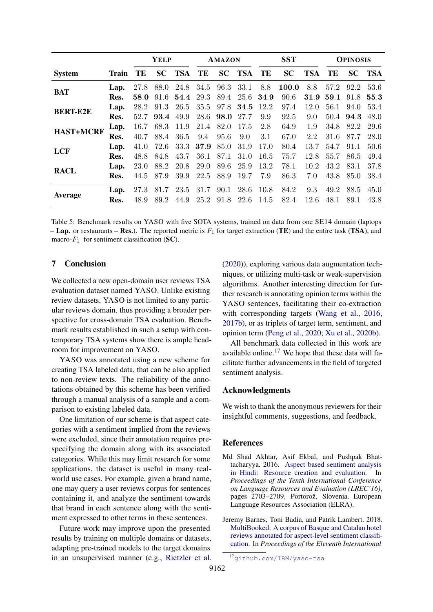<span id="page-8-2"></span>

|                  |       | <b>YELP</b> |      |        | <b>AMAZON</b> |      |        | <b>SST</b> |           | <b>OPINOSIS</b> |      |      |        |
|------------------|-------|-------------|------|--------|---------------|------|--------|------------|-----------|-----------------|------|------|--------|
| <b>System</b>    | Train | TE          |      | SC TSA | TE            |      | SC TSA | TE         | <b>SC</b> | TSA             | TE   |      | SC TSA |
| <b>BAT</b>       | Lap.  | 27.8        | 88.0 |        | 24.8 34.5     | 96.3 | 33.1   | 8.8        | 100.0     | 8.8             | 57.2 | 92.2 | 53.6   |
|                  | Res.  | 58.0        | 91.6 | 54.4   | 29.3          | 89.4 |        | 25.6 34.9  | 90.6      | 31.9            | 59.1 | 91.8 | 55.3   |
| <b>BERT-E2E</b>  | Lap.  | 28.2        | 91.3 | 26.5   | 35.5          | 97.8 | 34.5   | 12.2       | 97.4      | 12.0            | 56.1 | 94.0 | 53.4   |
|                  | Res.  | 52.7        | 93.4 | 49.9   | 28.6          | 98.0 | 27.7   | 9.9        | 92.5      | 9.0             | 50.4 | 94.3 | 48.0   |
| <b>HAST+MCRF</b> | Lap.  | 16.7        | 68.3 | 11.9   | 21.4          | 82.0 | 17.5   | 2.8        | 64.9      | 1.9             | 34.8 | 82.2 | -29.6  |
|                  | Res.  | 40.7        | 88.4 | 36.5   | 9.4           | 95.6 | 9.0    | 3.1        | 67.0      | 2.2             | 31.6 | 87.7 | 28.0   |
| <b>LCF</b>       | Lap.  | 41.0        | 72.6 | 33.3   | 37.9          | 85.0 | 31.9   | 17.0       | 80.4      | 13.7            | 54.7 | 91.1 | 50.6   |
|                  | Res.  | 48.8        | 84.8 | 43.7   | 36.1          | 87.1 | 31.0   | 16.5       | 75.7      | 12.8            | 55.7 | 86.5 | 49.4   |
| <b>RACL</b>      | Lap.  | 23.0        | 88.2 | 20.8   | 29.0          | 89.6 | 25.9   | 13.2       | 78.1      | 10.2            | 43.2 | 83.1 | 37.8   |
|                  | Res.  | 44.5        | 87.9 | 39.9   | 22.5          | 88.9 | 19.7   | 7.9        | 86.3      | 7.0             | 43.8 | 85.0 | 38.4   |
|                  | Lap.  | 27.3        | 81.7 | 23.5   | 31.7          | 90.1 | 28.6   | 10.8       | 84.2      | 9.3             | 49.2 | 88.5 | 45.0   |
| Average          | Res.  | 48.9        | 89.2 | 44.9   | 25.2          | 91.8 | 22.6   | 14.5       | 82.4      | 12.6            | 48.1 | 89.1 | 43.8   |

Table 5: Benchmark results on YASO with five SOTA systems, trained on data from one SE14 domain (laptops **– Lap.** or restaurants – **Res.**). The reported metric is  $F_1$  for target extraction (**TE**) and the entire task (**TSA**), and macro- $F_1$  for sentiment classification (SC).

#### 7 Conclusion

We collected a new open-domain user reviews TSA evaluation dataset named YASO. Unlike existing review datasets, YASO is not limited to any particular reviews domain, thus providing a broader perspective for cross-domain TSA evaluation. Benchmark results established in such a setup with contemporary TSA systems show there is ample headroom for improvement on YASO.

YASO was annotated using a new scheme for creating TSA labeled data, that can be also applied to non-review texts. The reliability of the annotations obtained by this scheme has been verified through a manual analysis of a sample and a comparison to existing labeled data.

One limitation of our scheme is that aspect categories with a sentiment implied from the reviews were excluded, since their annotation requires prespecifying the domain along with its associated categories. While this may limit research for some applications, the dataset is useful in many realworld use cases. For example, given a brand name, one may query a user reviews corpus for sentences containing it, and analyze the sentiment towards that brand in each sentence along with the sentiment expressed to other terms in these sentences.

Future work may improve upon the presented results by training on multiple domains or datasets, adapting pre-trained models to the target domains in an unsupervised manner (e.g., [Rietzler et al.](#page-10-0) [\(2020\)](#page-10-0)), exploring various data augmentation techniques, or utilizing multi-task or weak-supervision algorithms. Another interesting direction for further research is annotating opinion terms within the YASO sentences, facilitating their co-extraction with corresponding targets [\(Wang et al.,](#page-11-15) [2016,](#page-11-15) [2017b\)](#page-11-16), or as triplets of target term, sentiment, and opinion term [\(Peng et al.,](#page-10-17) [2020;](#page-10-17) [Xu et al.,](#page-11-17) [2020b\)](#page-11-17).

All benchmark data collected in this work are available online. $17$  We hope that these data will facilitate further advancements in the field of targeted sentiment analysis.

#### Acknowledgments

We wish to thank the anonymous reviewers for their insightful comments, suggestions, and feedback.

#### References

- <span id="page-8-1"></span>Md Shad Akhtar, Asif Ekbal, and Pushpak Bhattacharyya. 2016. [Aspect based sentiment analysis](https://www.aclweb.org/anthology/L16-1429) [in Hindi: Resource creation and evaluation.](https://www.aclweb.org/anthology/L16-1429) In *Proceedings of the Tenth International Conference on Language Resources and Evaluation (LREC'16)*, pages 2703–2709, Portorož, Slovenia. European Language Resources Association (ELRA).
- <span id="page-8-0"></span>Jeremy Barnes, Toni Badia, and Patrik Lambert. 2018. [MultiBooked: A corpus of Basque and Catalan hotel](https://www.aclweb.org/anthology/L18-1104) [reviews annotated for aspect-level sentiment classifi](https://www.aclweb.org/anthology/L18-1104)[cation.](https://www.aclweb.org/anthology/L18-1104) In *Proceedings of the Eleventh International*

<span id="page-8-3"></span><sup>17</sup>[github.com/IBM/yaso-tsa](https://github.com/IBM/yaso-tsa)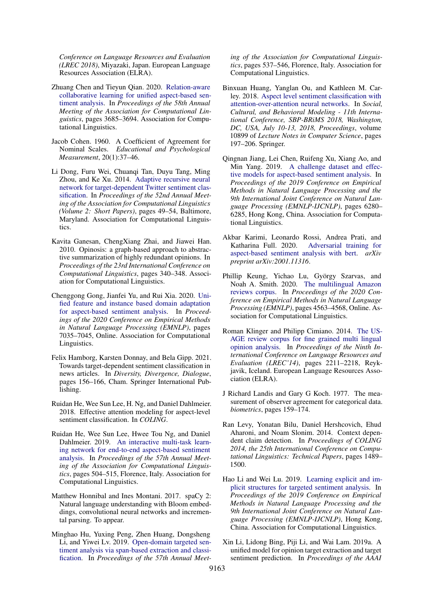*Conference on Language Resources and Evaluation (LREC 2018)*, Miyazaki, Japan. European Language Resources Association (ELRA).

- <span id="page-9-18"></span>Zhuang Chen and Tieyun Qian. 2020. [Relation-aware](https://doi.org/10.18653/v1/2020.acl-main.340) [collaborative learning for unified aspect-based sen](https://doi.org/10.18653/v1/2020.acl-main.340)[timent analysis.](https://doi.org/10.18653/v1/2020.acl-main.340) In *Proceedings of the 58th Annual Meeting of the Association for Computational Linguistics*, pages 3685–3694. Association for Computational Linguistics.
- <span id="page-9-16"></span>Jacob Cohen. 1960. A Coefficient of Agreement for Nominal Scales. *Educational and Psychological Measurement*, 20(1):37–46.
- <span id="page-9-3"></span>Li Dong, Furu Wei, Chuanqi Tan, Duyu Tang, Ming Zhou, and Ke Xu. 2014. [Adaptive recursive neural](https://doi.org/10.3115/v1/P14-2009) [network for target-dependent Twitter sentiment clas](https://doi.org/10.3115/v1/P14-2009)[sification.](https://doi.org/10.3115/v1/P14-2009) In *Proceedings of the 52nd Annual Meeting of the Association for Computational Linguistics (Volume 2: Short Papers)*, pages 49–54, Baltimore, Maryland. Association for Computational Linguistics.
- <span id="page-9-1"></span>Kavita Ganesan, ChengXiang Zhai, and Jiawei Han. 2010. Opinosis: a graph-based approach to abstractive summarization of highly redundant opinions. In *Proceedings of the 23rd International Conference on Computational Linguistics*, pages 340–348. Association for Computational Linguistics.
- <span id="page-9-14"></span>Chenggong Gong, Jianfei Yu, and Rui Xia. 2020. [Uni](https://doi.org/10.18653/v1/2020.emnlp-main.572)[fied feature and instance based domain adaptation](https://doi.org/10.18653/v1/2020.emnlp-main.572) [for aspect-based sentiment analysis.](https://doi.org/10.18653/v1/2020.emnlp-main.572) In *Proceedings of the 2020 Conference on Empirical Methods in Natural Language Processing (EMNLP)*, pages 7035–7045, Online. Association for Computational Linguistics.
- <span id="page-9-4"></span>Felix Hamborg, Karsten Donnay, and Bela Gipp. 2021. Towards target-dependent sentiment classification in news articles. In *Diversity, Divergence, Dialogue*, pages 156–166, Cham. Springer International Publishing.
- <span id="page-9-13"></span>Ruidan He, Wee Sun Lee, H. Ng, and Daniel Dahlmeier. 2018. Effective attention modeling for aspect-level sentiment classification. In *COLING*.
- <span id="page-9-11"></span>Ruidan He, Wee Sun Lee, Hwee Tou Ng, and Daniel Dahlmeier. 2019. [An interactive multi-task learn](https://doi.org/10.18653/v1/P19-1048)[ing network for end-to-end aspect-based sentiment](https://doi.org/10.18653/v1/P19-1048) [analysis.](https://doi.org/10.18653/v1/P19-1048) In *Proceedings of the 57th Annual Meeting of the Association for Computational Linguistics*, pages 504–515, Florence, Italy. Association for Computational Linguistics.
- <span id="page-9-15"></span>Matthew Honnibal and Ines Montani. 2017. spaCy 2: Natural language understanding with Bloom embeddings, convolutional neural networks and incremental parsing. To appear.
- <span id="page-9-10"></span>Minghao Hu, Yuxing Peng, Zhen Huang, Dongsheng Li, and Yiwei Lv. 2019. [Open-domain targeted sen](https://doi.org/10.18653/v1/P19-1051)[timent analysis via span-based extraction and classi](https://doi.org/10.18653/v1/P19-1051)[fication.](https://doi.org/10.18653/v1/P19-1051) In *Proceedings of the 57th Annual Meet-*

*ing of the Association for Computational Linguistics*, pages 537–546, Florence, Italy. Association for Computational Linguistics.

- <span id="page-9-12"></span>Binxuan Huang, Yanglan Ou, and Kathleen M. Carley. 2018. [Aspect level sentiment classification with](https://doi.org/10.1007/978-3-319-93372-6_22) [attention-over-attention neural networks.](https://doi.org/10.1007/978-3-319-93372-6_22) In *Social, Cultural, and Behavioral Modeling - 11th International Conference, SBP-BRiMS 2018, Washington, DC, USA, July 10-13, 2018, Proceedings*, volume 10899 of *Lecture Notes in Computer Science*, pages 197–206. Springer.
- <span id="page-9-2"></span>Qingnan Jiang, Lei Chen, Ruifeng Xu, Xiang Ao, and Min Yang. 2019. [A challenge dataset and effec](https://doi.org/10.18653/v1/D19-1654)[tive models for aspect-based sentiment analysis.](https://doi.org/10.18653/v1/D19-1654) In *Proceedings of the 2019 Conference on Empirical Methods in Natural Language Processing and the 9th International Joint Conference on Natural Language Processing (EMNLP-IJCNLP)*, pages 6280– 6285, Hong Kong, China. Association for Computational Linguistics.
- <span id="page-9-7"></span>Akbar Karimi, Leonardo Rossi, Andrea Prati, and Katharina Full. 2020. [Adversarial training for](http://arxiv.org/abs/2001.11316) [aspect-based sentiment analysis with bert.](http://arxiv.org/abs/2001.11316) *arXiv preprint arXiv:2001.11316*.
- <span id="page-9-0"></span>Phillip Keung, Yichao Lu, György Szarvas, and Noah A. Smith. 2020. [The multilingual Amazon](https://doi.org/10.18653/v1/2020.emnlp-main.369) [reviews corpus.](https://doi.org/10.18653/v1/2020.emnlp-main.369) In *Proceedings of the 2020 Conference on Empirical Methods in Natural Language Processing (EMNLP)*, pages 4563–4568, Online. Association for Computational Linguistics.
- <span id="page-9-5"></span>Roman Klinger and Philipp Cimiano. 2014. [The US-](http://www.lrec-conf.org/proceedings/lrec2014/pdf/85_Paper.pdf)[AGE review corpus for fine grained multi lingual](http://www.lrec-conf.org/proceedings/lrec2014/pdf/85_Paper.pdf) [opinion analysis.](http://www.lrec-conf.org/proceedings/lrec2014/pdf/85_Paper.pdf) In *Proceedings of the Ninth International Conference on Language Resources and Evaluation (LREC'14)*, pages 2211–2218, Reykjavik, Iceland. European Language Resources Association (ELRA).
- <span id="page-9-17"></span>J Richard Landis and Gary G Koch. 1977. The measurement of observer agreement for categorical data. *biometrics*, pages 159–174.
- <span id="page-9-6"></span>Ran Levy, Yonatan Bilu, Daniel Hershcovich, Ehud Aharoni, and Noam Slonim. 2014. Context dependent claim detection. In *Proceedings of COLING 2014, the 25th International Conference on Computational Linguistics: Technical Papers*, pages 1489– 1500.
- <span id="page-9-8"></span>Hao Li and Wei Lu. 2019. [Learning explicit and im](https://doi.org/10.18653/v1/D19-1550)[plicit structures for targeted sentiment analysis.](https://doi.org/10.18653/v1/D19-1550) In *Proceedings of the 2019 Conference on Empirical Methods in Natural Language Processing and the 9th International Joint Conference on Natural Language Processing (EMNLP-IJCNLP)*, Hong Kong, China. Association for Computational Linguistics.
- <span id="page-9-9"></span>Xin Li, Lidong Bing, Piji Li, and Wai Lam. 2019a. A unified model for opinion target extraction and target sentiment prediction. In *Proceedings of the AAAI*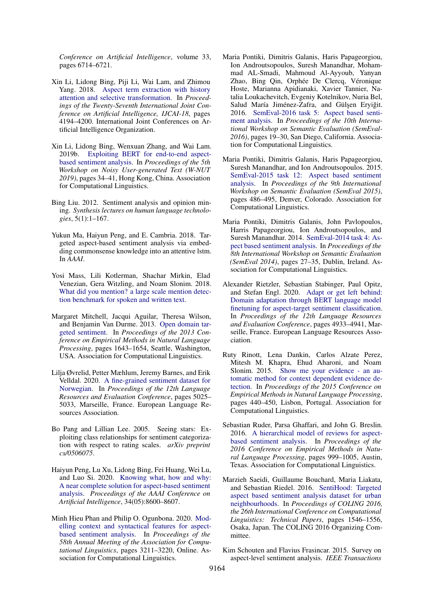*Conference on Artificial Intelligence*, volume 33, pages 6714–6721.

- <span id="page-10-16"></span>Xin Li, Lidong Bing, Piji Li, Wai Lam, and Zhimou Yang. 2018. [Aspect term extraction with history](https://doi.org/10.24963/ijcai.2018/583) [attention and selective transformation.](https://doi.org/10.24963/ijcai.2018/583) In *Proceedings of the Twenty-Seventh International Joint Conference on Artificial Intelligence, IJCAI-18*, pages 4194–4200. International Joint Conferences on Artificial Intelligence Organization.
- <span id="page-10-15"></span>Xin Li, Lidong Bing, Wenxuan Zhang, and Wai Lam. 2019b. [Exploiting BERT for end-to-end aspect](https://doi.org/10.18653/v1/D19-5505)[based sentiment analysis.](https://doi.org/10.18653/v1/D19-5505) In *Proceedings of the 5th Workshop on Noisy User-generated Text (W-NUT 2019)*, pages 34–41, Hong Kong, China. Association for Computational Linguistics.
- <span id="page-10-4"></span>Bing Liu. 2012. Sentiment analysis and opinion mining. *Synthesis lectures on human language technologies*, 5(1):1–167.
- <span id="page-10-11"></span>Yukun Ma, Haiyun Peng, and E. Cambria. 2018. Targeted aspect-based sentiment analysis via embedding commonsense knowledge into an attentive lstm. In *AAAI*.
- <span id="page-10-9"></span>Yosi Mass, Lili Kotlerman, Shachar Mirkin, Elad Venezian, Gera Witzling, and Noam Slonim. 2018. [What did you mention? a large scale mention detec](http://arxiv.org/abs/1801.07507)[tion benchmark for spoken and written text.](http://arxiv.org/abs/1801.07507)
- <span id="page-10-5"></span>Margaret Mitchell, Jacqui Aguilar, Theresa Wilson, and Benjamin Van Durme. 2013. [Open domain tar](https://www.aclweb.org/anthology/D13-1171)[geted sentiment.](https://www.aclweb.org/anthology/D13-1171) In *Proceedings of the 2013 Conference on Empirical Methods in Natural Language Processing*, pages 1643–1654, Seattle, Washington, USA. Association for Computational Linguistics.
- <span id="page-10-7"></span>Lilja Øvrelid, Petter Mæhlum, Jeremy Barnes, and Erik Velldal. 2020. [A fine-grained sentiment dataset for](https://www.aclweb.org/anthology/2020.lrec-1.618) [Norwegian.](https://www.aclweb.org/anthology/2020.lrec-1.618) In *Proceedings of the 12th Language Resources and Evaluation Conference*, pages 5025– 5033, Marseille, France. European Language Resources Association.
- <span id="page-10-14"></span>Bo Pang and Lillian Lee. 2005. Seeing stars: Exploiting class relationships for sentiment categorization with respect to rating scales. *arXiv preprint cs/0506075*.
- <span id="page-10-17"></span>Haiyun Peng, Lu Xu, Lidong Bing, Fei Huang, Wei Lu, and Luo Si. 2020. [Knowing what, how and why:](https://doi.org/10.1609/aaai.v34i05.6383) [A near complete solution for aspect-based sentiment](https://doi.org/10.1609/aaai.v34i05.6383) [analysis.](https://doi.org/10.1609/aaai.v34i05.6383) *Proceedings of the AAAI Conference on Artificial Intelligence*, 34(05):8600–8607.
- <span id="page-10-13"></span>Minh Hieu Phan and Philip O. Ogunbona. 2020. [Mod](https://doi.org/10.18653/v1/2020.acl-main.293)[elling context and syntactical features for aspect](https://doi.org/10.18653/v1/2020.acl-main.293)[based sentiment analysis.](https://doi.org/10.18653/v1/2020.acl-main.293) In *Proceedings of the 58th Annual Meeting of the Association for Computational Linguistics*, pages 3211–3220, Online. Association for Computational Linguistics.
- <span id="page-10-3"></span>Maria Pontiki, Dimitris Galanis, Haris Papageorgiou, Ion Androutsopoulos, Suresh Manandhar, Mohammad AL-Smadi, Mahmoud Al-Ayyoub, Yanyan Zhao, Bing Qin, Orphée De Clercq, Véronique Hoste, Marianna Apidianaki, Xavier Tannier, Natalia Loukachevitch, Evgeniy Kotelnikov, Nuria Bel, Salud María Jiménez-Zafra, and Gülşen Eryiğit. 2016. [SemEval-2016 task 5: Aspect based senti](https://doi.org/10.18653/v1/S16-1002)[ment analysis.](https://doi.org/10.18653/v1/S16-1002) In *Proceedings of the 10th International Workshop on Semantic Evaluation (SemEval-2016)*, pages 19–30, San Diego, California. Association for Computational Linguistics.
- <span id="page-10-2"></span>Maria Pontiki, Dimitris Galanis, Haris Papageorgiou, Suresh Manandhar, and Ion Androutsopoulos. 2015. [SemEval-2015 task 12: Aspect based sentiment](https://doi.org/10.18653/v1/S15-2082) [analysis.](https://doi.org/10.18653/v1/S15-2082) In *Proceedings of the 9th International Workshop on Semantic Evaluation (SemEval 2015)*, pages 486–495, Denver, Colorado. Association for Computational Linguistics.
- <span id="page-10-1"></span>Maria Pontiki, Dimitris Galanis, John Pavlopoulos, Harris Papageorgiou, Ion Androutsopoulos, and Suresh Manandhar. 2014. [SemEval-2014 task 4: As](https://doi.org/10.3115/v1/S14-2004)[pect based sentiment analysis.](https://doi.org/10.3115/v1/S14-2004) In *Proceedings of the 8th International Workshop on Semantic Evaluation (SemEval 2014)*, pages 27–35, Dublin, Ireland. Association for Computational Linguistics.
- <span id="page-10-0"></span>Alexander Rietzler, Sebastian Stabinger, Paul Opitz, and Stefan Engl. 2020. [Adapt or get left behind:](https://www.aclweb.org/anthology/2020.lrec-1.607) [Domain adaptation through BERT language model](https://www.aclweb.org/anthology/2020.lrec-1.607) [finetuning for aspect-target sentiment classification.](https://www.aclweb.org/anthology/2020.lrec-1.607) In *Proceedings of the 12th Language Resources and Evaluation Conference*, pages 4933–4941, Marseille, France. European Language Resources Association.
- <span id="page-10-8"></span>Ruty Rinott, Lena Dankin, Carlos Alzate Perez, Mitesh M. Khapra, Ehud Aharoni, and Noam Slonim. 2015. [Show me your evidence - an au](https://doi.org/10.18653/v1/D15-1050)[tomatic method for context dependent evidence de](https://doi.org/10.18653/v1/D15-1050)[tection.](https://doi.org/10.18653/v1/D15-1050) In *Proceedings of the 2015 Conference on Empirical Methods in Natural Language Processing*, pages 440–450, Lisbon, Portugal. Association for Computational Linguistics.
- <span id="page-10-10"></span>Sebastian Ruder, Parsa Ghaffari, and John G. Breslin. 2016. [A hierarchical model of reviews for aspect](https://doi.org/10.18653/v1/D16-1103)[based sentiment analysis.](https://doi.org/10.18653/v1/D16-1103) In *Proceedings of the 2016 Conference on Empirical Methods in Natural Language Processing*, pages 999–1005, Austin, Texas. Association for Computational Linguistics.
- <span id="page-10-6"></span>Marzieh Saeidi, Guillaume Bouchard, Maria Liakata, and Sebastian Riedel. 2016. [SentiHood: Targeted](https://www.aclweb.org/anthology/C16-1146) [aspect based sentiment analysis dataset for urban](https://www.aclweb.org/anthology/C16-1146) [neighbourhoods.](https://www.aclweb.org/anthology/C16-1146) In *Proceedings of COLING 2016, the 26th International Conference on Computational Linguistics: Technical Papers*, pages 1546–1556, Osaka, Japan. The COLING 2016 Organizing Committee.
- <span id="page-10-12"></span>Kim Schouten and Flavius Frasincar. 2015. Survey on aspect-level sentiment analysis. *IEEE Transactions*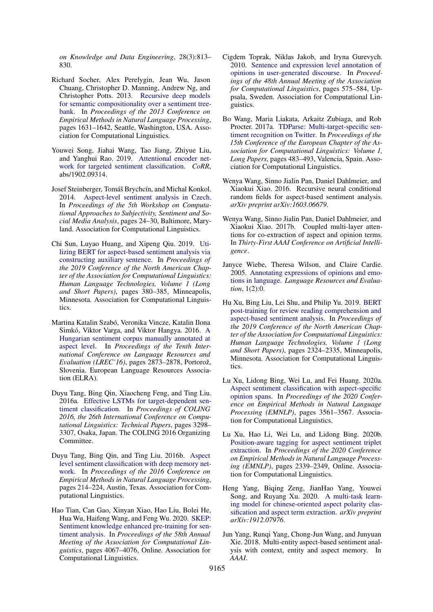*on Knowledge and Data Engineering*, 28(3):813– 830.

- <span id="page-11-0"></span>Richard Socher, Alex Perelygin, Jean Wu, Jason Chuang, Christopher D. Manning, Andrew Ng, and Christopher Potts. 2013. [Recursive deep models](https://www.aclweb.org/anthology/D13-1170) [for semantic compositionality over a sentiment tree](https://www.aclweb.org/anthology/D13-1170)[bank.](https://www.aclweb.org/anthology/D13-1170) In *Proceedings of the 2013 Conference on Empirical Methods in Natural Language Processing*, pages 1631–1642, Seattle, Washington, USA. Association for Computational Linguistics.
- <span id="page-11-10"></span>Youwei Song, Jiahai Wang, Tao Jiang, Zhiyue Liu, and Yanghui Rao. 2019. [Attentional encoder net](http://arxiv.org/abs/1902.09314)[work for targeted sentiment classification.](http://arxiv.org/abs/1902.09314) *CoRR*, abs/1902.09314.
- <span id="page-11-6"></span>Josef Steinberger, Tomáš Brychcín, and Michal Konkol. 2014. [Aspect-level sentiment analysis in Czech.](https://doi.org/10.3115/v1/W14-2605) In *Proceedings of the 5th Workshop on Computational Approaches to Subjectivity, Sentiment and Social Media Analysis*, pages 24–30, Baltimore, Maryland. Association for Computational Linguistics.
- <span id="page-11-9"></span>Chi Sun, Luyao Huang, and Xipeng Qiu. 2019. [Uti](https://doi.org/10.18653/v1/N19-1035)[lizing BERT for aspect-based sentiment analysis via](https://doi.org/10.18653/v1/N19-1035) [constructing auxiliary sentence.](https://doi.org/10.18653/v1/N19-1035) In *Proceedings of the 2019 Conference of the North American Chapter of the Association for Computational Linguistics: Human Language Technologies, Volume 1 (Long and Short Papers)*, pages 380–385, Minneapolis, Minnesota. Association for Computational Linguistics.
- <span id="page-11-5"></span>Martina Katalin Szabó, Veronika Vincze, Katalin Ilona Simkó, Viktor Varga, and Viktor Hangya. 2016. [A](https://www.aclweb.org/anthology/L16-1459) [Hungarian sentiment corpus manually annotated at](https://www.aclweb.org/anthology/L16-1459) [aspect level.](https://www.aclweb.org/anthology/L16-1459) In *Proceedings of the Tenth International Conference on Language Resources and Evaluation (LREC'16)*, pages 2873–2878, Portorož, Slovenia. European Language Resources Association (ELRA).
- <span id="page-11-7"></span>Duyu Tang, Bing Qin, Xiaocheng Feng, and Ting Liu. 2016a. [Effective LSTMs for target-dependent sen](https://www.aclweb.org/anthology/C16-1311)[timent classification.](https://www.aclweb.org/anthology/C16-1311) In *Proceedings of COLING 2016, the 26th International Conference on Computational Linguistics: Technical Papers*, pages 3298– 3307, Osaka, Japan. The COLING 2016 Organizing Committee.
- <span id="page-11-8"></span>Duyu Tang, Bing Qin, and Ting Liu. 2016b. [Aspect](https://doi.org/10.18653/v1/D16-1021) [level sentiment classification with deep memory net](https://doi.org/10.18653/v1/D16-1021)[work.](https://doi.org/10.18653/v1/D16-1021) In *Proceedings of the 2016 Conference on Empirical Methods in Natural Language Processing*, pages 214–224, Austin, Texas. Association for Computational Linguistics.
- <span id="page-11-12"></span>Hao Tian, Can Gao, Xinyan Xiao, Hao Liu, Bolei He, Hua Wu, Haifeng Wang, and Feng Wu. 2020. [SKEP:](https://doi.org/10.18653/v1/2020.acl-main.374) [Sentiment knowledge enhanced pre-training for sen](https://doi.org/10.18653/v1/2020.acl-main.374)[timent analysis.](https://doi.org/10.18653/v1/2020.acl-main.374) In *Proceedings of the 58th Annual Meeting of the Association for Computational Linguistics*, pages 4067–4076, Online. Association for Computational Linguistics.
- <span id="page-11-1"></span>Cigdem Toprak, Niklas Jakob, and Iryna Gurevych. 2010. [Sentence and expression level annotation of](https://www.aclweb.org/anthology/P10-1059) [opinions in user-generated discourse.](https://www.aclweb.org/anthology/P10-1059) In *Proceedings of the 48th Annual Meeting of the Association for Computational Linguistics*, pages 575–584, Uppsala, Sweden. Association for Computational Linguistics.
- <span id="page-11-3"></span>Bo Wang, Maria Liakata, Arkaitz Zubiaga, and Rob Procter. 2017a. [TDParse: Multi-target-specific sen](https://www.aclweb.org/anthology/E17-1046)[timent recognition on Twitter.](https://www.aclweb.org/anthology/E17-1046) In *Proceedings of the 15th Conference of the European Chapter of the Association for Computational Linguistics: Volume 1, Long Papers*, pages 483–493, Valencia, Spain. Association for Computational Linguistics.
- <span id="page-11-15"></span>Wenya Wang, Sinno Jialin Pan, Daniel Dahlmeier, and Xiaokui Xiao. 2016. Recursive neural conditional random fields for aspect-based sentiment analysis. *arXiv preprint arXiv:1603.06679*.
- <span id="page-11-16"></span>Wenya Wang, Sinno Jialin Pan, Daniel Dahlmeier, and Xiaokui Xiao. 2017b. Coupled multi-layer attentions for co-extraction of aspect and opinion terms. In *Thirty-First AAAI Conference on Artificial Intelligence*.
- <span id="page-11-2"></span>Janyce Wiebe, Theresa Wilson, and Claire Cardie. 2005. [Annotating expressions of opinions and emo](http://www.cs.pitt.edu/~{}wiebe/pubs/papers/lre05withappendix.pdf)[tions in language.](http://www.cs.pitt.edu/~{}wiebe/pubs/papers/lre05withappendix.pdf) *Language Resources and Evaluation*, 1(2):0.
- <span id="page-11-11"></span>Hu Xu, Bing Liu, Lei Shu, and Philip Yu. 2019. [BERT](https://doi.org/10.18653/v1/N19-1242) [post-training for review reading comprehension and](https://doi.org/10.18653/v1/N19-1242) [aspect-based sentiment analysis.](https://doi.org/10.18653/v1/N19-1242) In *Proceedings of the 2019 Conference of the North American Chapter of the Association for Computational Linguistics: Human Language Technologies, Volume 1 (Long and Short Papers)*, pages 2324–2335, Minneapolis, Minnesota. Association for Computational Linguistics.
- <span id="page-11-14"></span>Lu Xu, Lidong Bing, Wei Lu, and Fei Huang. 2020a. [Aspect sentiment classification with aspect-specific](https://www.aclweb.org/anthology/2020.emnlp-main.288) [opinion spans.](https://www.aclweb.org/anthology/2020.emnlp-main.288) In *Proceedings of the 2020 Conference on Empirical Methods in Natural Language Processing (EMNLP)*, pages 3561–3567. Association for Computational Linguistics.
- <span id="page-11-17"></span>Lu Xu, Hao Li, Wei Lu, and Lidong Bing. 2020b. [Position-aware tagging for aspect sentiment triplet](https://doi.org/10.18653/v1/2020.emnlp-main.183) [extraction.](https://doi.org/10.18653/v1/2020.emnlp-main.183) In *Proceedings of the 2020 Conference on Empirical Methods in Natural Language Processing (EMNLP)*, pages 2339–2349, Online. Association for Computational Linguistics.
- <span id="page-11-13"></span>Heng Yang, Biqing Zeng, JianHao Yang, Youwei Song, and Ruyang Xu. 2020. [A multi-task learn](http://arxiv.org/abs/1912.07976)[ing model for chinese-oriented aspect polarity clas](http://arxiv.org/abs/1912.07976)[sification and aspect term extraction.](http://arxiv.org/abs/1912.07976) *arXiv preprint arXiv:1912.07976*.
- <span id="page-11-4"></span>Jun Yang, Runqi Yang, Chong-Jun Wang, and Junyuan Xie. 2018. Multi-entity aspect-based sentiment analysis with context, entity and aspect memory. In *AAAI*.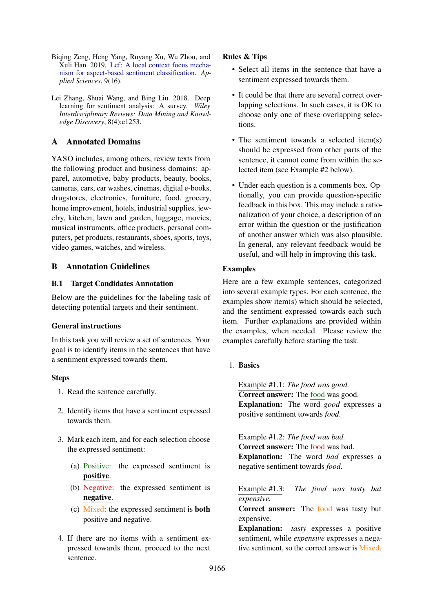- <span id="page-12-1"></span>Biqing Zeng, Heng Yang, Ruyang Xu, Wu Zhou, and Xuli Han. 2019. [Lcf: A local context focus mecha](https://doi.org/10.3390/app9163389)[nism for aspect-based sentiment classification.](https://doi.org/10.3390/app9163389) *Applied Sciences*, 9(16).
- <span id="page-12-0"></span>Lei Zhang, Shuai Wang, and Bing Liu. 2018. Deep learning for sentiment analysis: A survey. *Wiley Interdisciplinary Reviews: Data Mining and Knowledge Discovery*, 8(4):e1253.

## <span id="page-12-2"></span>A Annotated Domains

YASO includes, among others, review texts from the following product and business domains: apparel, automotive, baby products, beauty, books, cameras, cars, car washes, cinemas, digital e-books, drugstores, electronics, furniture, food, grocery, home improvement, hotels, industrial supplies, jewelry, kitchen, lawn and garden, luggage, movies, musical instruments, office products, personal computers, pet products, restaurants, shoes, sports, toys, video games, watches, and wireless.

## <span id="page-12-3"></span>B Annotation Guidelines

### B.1 Target Candidates Annotation

Below are the guidelines for the labeling task of detecting potential targets and their sentiment.

### General instructions

In this task you will review a set of sentences. Your goal is to identify items in the sentences that have a sentiment expressed towards them.

### Steps

- 1. Read the sentence carefully.
- 2. Identify items that have a sentiment expressed towards them.
- 3. Mark each item, and for each selection choose the expressed sentiment:
	- (a) Positive: the expressed sentiment is positive.
	- (b) Negative: the expressed sentiment is negative.
	- (c) Mixed: the expressed sentiment is both positive and negative.
- 4. If there are no items with a sentiment expressed towards them, proceed to the next sentence.

### Rules & Tips

- Select all items in the sentence that have a sentiment expressed towards them.
- It could be that there are several correct overlapping selections. In such cases, it is OK to choose only one of these overlapping selections.
- The sentiment towards a selected item(s) should be expressed from other parts of the sentence, it cannot come from within the selected item (see Example #2 below).
- Under each question is a comments box. Optionally, you can provide question-specific feedback in this box. This may include a rationalization of your choice, a description of an error within the question or the justification of another answer which was also plausible. In general, any relevant feedback would be useful, and will help in improving this task.

### Examples

Here are a few example sentences, categorized into several example types. For each sentence, the examples show item(s) which should be selected, and the sentiment expressed towards each such item. Further explanations are provided within the examples, when needed. Please review the examples carefully before starting the task.

### 1. Basics

Example #1.1: *The food was good.* Correct answer: The food was good. Explanation: The word *good* expresses a positive sentiment towards *food*.

Example #1.2: *The food was bad.* Correct answer: The food was bad. Explanation: The word *bad* expresses a negative sentiment towards *food*.

Example #1.3: *The food was tasty but expensive.*

Correct answer: The food was tasty but expensive.

Explanation: *tasty* expresses a positive sentiment, while *expensive* expresses a negative sentiment, so the correct answer is Mixed.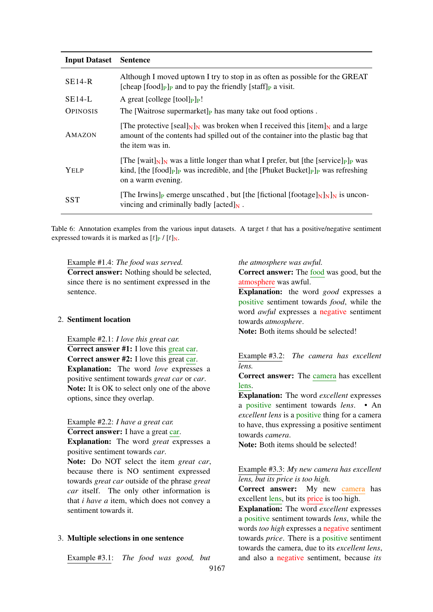<span id="page-13-0"></span>

| <b>Input Dataset</b> | <b>Sentence</b>                                                                                                                                                                                                                                                                           |
|----------------------|-------------------------------------------------------------------------------------------------------------------------------------------------------------------------------------------------------------------------------------------------------------------------------------------|
| $SE14-R$             | Although I moved uptown I try to stop in as often as possible for the GREAT<br>[cheap $[food]_P _P$ and to pay the friendly $[staff]_P$ a visit.                                                                                                                                          |
| $SE14-L$             | A great [college $[$ tool] $_{\rm P}$ ] $_{\rm P}$ !                                                                                                                                                                                                                                      |
| <b>OPINOSIS</b>      | The [Waitrose supermarket] $_{P}$ has many take out food options.                                                                                                                                                                                                                         |
| AMAZON               | [The protective [seal] $_{\text{N}}$ ] <sub>N</sub> was broken when I received this [item] <sub>N</sub> and a large<br>amount of the contents had spilled out of the container into the plastic bag that<br>the item was in.                                                              |
| <b>YELP</b>          | [The [wait] $_{\rm N}$ ] <sub>N</sub> was a little longer than what I prefer, but [the [service] $_{\rm P}$ ] <sub>P</sub> was<br>kind, [the [food] <sub>P</sub> ] <sub>P</sub> was incredible, and [the [Phuket Bucket] <sub>P</sub> ] <sub>P</sub> was refreshing<br>on a warm evening. |
| <b>SST</b>           | [The Irwins] <sub>P</sub> emerge unscathed, but [the [fictional [footage] $_N$ ] <sub>N</sub> ] <sub>N</sub> is uncon-<br>vincing and criminally badly [acted] $_N$ .                                                                                                                     |

Table 6: Annotation examples from the various input datasets. A target  $t$  that has a positive/negative sentiment expressed towards it is marked as  $[t]_P / [t]_N$ .

Example #1.4: *The food was served.*

Correct answer: Nothing should be selected, since there is no sentiment expressed in the sentence.

#### 2. Sentiment location

Example #2.1: *I love this great car.* Correct answer #1: I love this great car. Correct answer #2: I love this great car. Explanation: The word *love* expresses a positive sentiment towards *great car* or *car*. Note: It is OK to select only one of the above options, since they overlap.

Example #2.2: *I have a great car.*

Correct answer: I have a great car.

Explanation: The word *great* expresses a positive sentiment towards *car*.

Note: Do NOT select the item *great car*, because there is NO sentiment expressed towards *great car* outside of the phrase *great car* itself. The only other information is that *i have a* item, which does not convey a sentiment towards it.

### 3. Multiple selections in one sentence

Example #3.1: *The food was good, but*

#### *the atmosphere was awful.*

Correct answer: The food was good, but the atmosphere was awful.

Explanation: the word *good* expresses a positive sentiment towards *food*, while the word *awful* expresses a negative sentiment towards *atmosphere*.

Note: Both items should be selected!

Example #3.2: *The camera has excellent lens.*

Correct answer: The camera has excellent lens.

Explanation: The word *excellent* expresses a positive sentiment towards *lens*. • An *excellent lens* is a positive thing for a camera to have, thus expressing a positive sentiment towards *camera*.

Note: Both items should be selected!

## Example #3.3: *My new camera has excellent lens, but its price is too high.*

Correct answer: My new camera has excellent lens, but its price is too high.

Explanation: The word *excellent* expresses a positive sentiment towards *lens*, while the words *too high* expresses a negative sentiment towards *price*. There is a positive sentiment towards the camera, due to its *excellent lens*, and also a negative sentiment, because *its*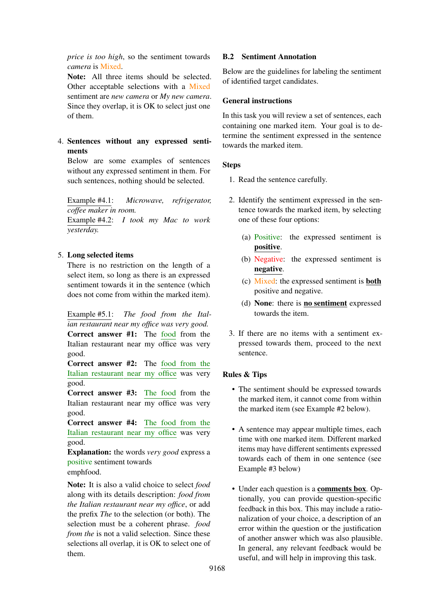*price is too high*, so the sentiment towards *camera* is Mixed.

Note: All three items should be selected. Other acceptable selections with a Mixed sentiment are *new camera* or *My new camera*. Since they overlap, it is OK to select just one of them.

4. Sentences without any expressed sentiments

Below are some examples of sentences without any expressed sentiment in them. For such sentences, nothing should be selected.

Example #4.1: *Microwave, refrigerator, coffee maker in room.*

Example #4.2: *I took my Mac to work yesterday.*

## 5. Long selected items

There is no restriction on the length of a select item, so long as there is an expressed sentiment towards it in the sentence (which does not come from within the marked item).

Example #5.1: *The food from the Italian restaurant near my office was very good.* Correct answer #1: The food from the Italian restaurant near my office was very good.

Correct answer #2: The food from the Italian restaurant near my office was very good.

Correct answer #3: The food from the Italian restaurant near my office was very good.

Correct answer #4: The food from the Italian restaurant near my office was very good.

Explanation: the words *very good* express a positive sentiment towards

emphfood.

Note: It is also a valid choice to select *food* along with its details description: *food from the Italian restaurant near my office*, or add the prefix *The* to the selection (or both). The selection must be a coherent phrase. *food from the* is not a valid selection. Since these selections all overlap, it is OK to select one of them.

## B.2 Sentiment Annotation

Below are the guidelines for labeling the sentiment of identified target candidates.

## General instructions

In this task you will review a set of sentences, each containing one marked item. Your goal is to determine the sentiment expressed in the sentence towards the marked item.

## **Steps**

- 1. Read the sentence carefully.
- 2. Identify the sentiment expressed in the sentence towards the marked item, by selecting one of these four options:
	- (a) Positive: the expressed sentiment is positive.
	- (b) Negative: the expressed sentiment is negative.
	- (c) Mixed: the expressed sentiment is both positive and negative.
	- (d) None: there is no sentiment expressed towards the item.
- 3. If there are no items with a sentiment expressed towards them, proceed to the next sentence.

## Rules & Tips

- The sentiment should be expressed towards the marked item, it cannot come from within the marked item (see Example #2 below).
- A sentence may appear multiple times, each time with one marked item. Different marked items may have different sentiments expressed towards each of them in one sentence (see Example #3 below)
- Under each question is a comments box. Optionally, you can provide question-specific feedback in this box. This may include a rationalization of your choice, a description of an error within the question or the justification of another answer which was also plausible. In general, any relevant feedback would be useful, and will help in improving this task.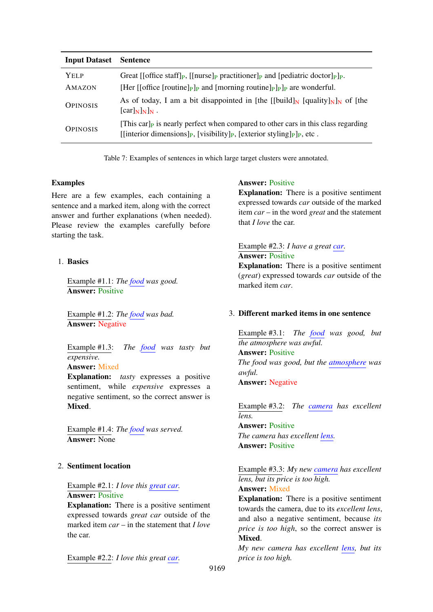<span id="page-15-0"></span>

| <b>Input Dataset</b> | <b>Sentence</b>                                                                                                                                                                                                                                 |
|----------------------|-------------------------------------------------------------------------------------------------------------------------------------------------------------------------------------------------------------------------------------------------|
| Yel p<br>AMAZON      | Great [[office staff] <sub>P</sub> , [[nurse] <sub>P</sub> practitioner] <sub>P</sub> and [pediatric doctor] <sub>P</sub> ] <sub>P</sub> .<br>[Her [[office [routine] $_{\rm P}$ ] and [morning routine] $_{\rm P}$ ] $_{\rm P}$ are wonderful. |
| <b>OPINOSIS</b>      | As of today, I am a bit disappointed in [the [[build] <sub>N</sub> [quality] <sub>N</sub> ] <sub>N</sub> of [the<br>$[\text{car}]_{N}]_{N}$ .                                                                                                   |
| <b>OPINOSIS</b>      | [This car] <sub>p</sub> is nearly perfect when compared to other cars in this class regarding<br>[[interior dimensions] <sub>P</sub> , [visibility] <sub>P</sub> , [exterior styling] <sub>P</sub> ] <sub>P</sub> , etc.                        |

Table 7: Examples of sentences in which large target clusters were annotated.

### Examples

Here are a few examples, each containing a sentence and a marked item, along with the correct answer and further explanations (when needed). Please review the examples carefully before starting the task.

## 1. Basics

Example #1.1: *The food was good.* **Answer: Positive** 

Example #1.2: *The food was bad.* Answer: Negative

Example #1.3: *The food was tasty but expensive.*

## Answer: Mixed

Explanation: *tasty* expresses a positive sentiment, while *expensive* expresses a negative sentiment, so the correct answer is Mixed.

Example #1.4: *The food was served.* Answer: None

### 2. Sentiment location

Example #2.1: *I love this great car.* Answer: Positive

Explanation: There is a positive sentiment expressed towards *great car* outside of the marked item *car* – in the statement that *I love* the car.

Example #2.2: *I love this great car.*

### Answer: Positive

Explanation: There is a positive sentiment expressed towards *car* outside of the marked item *car* – in the word *great* and the statement that *I love* the car.

### Example #2.3: *I have a great car.* **Answer: Positive**

Explanation: There is a positive sentiment (*great*) expressed towards *car* outside of the marked item *car*.

### 3. Different marked items in one sentence

Example #3.1: *The food was good, but the atmosphere was awful.* Answer: Positive *The food was good, but the atmosphere was awful.* Answer: Negative

Example #3.2: *The camera has excellent lens.*

Answer: Positive *The camera has excellent lens.* Answer: Positive

Example #3.3: *My new camera has excellent lens, but its price is too high.* Answer: Mixed

Explanation: There is a positive sentiment towards the camera, due to its *excellent lens*, and also a negative sentiment, because *its price is too high*, so the correct answer is **Mixed.** 

*My new camera has excellent lens, but its price is too high.*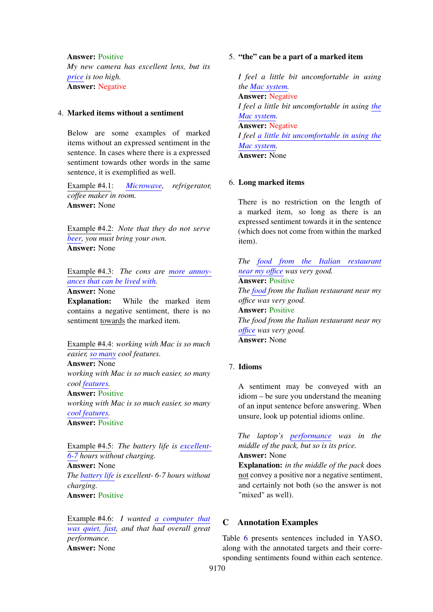Answer: Positive

*My new camera has excellent lens, but its price is too high.* Answer: Negative

#### 4. Marked items without a sentiment

Below are some examples of marked items without an expressed sentiment in the sentence. In cases where there is a expressed sentiment towards other words in the same sentence, it is exemplified as well.

Example #4.1: *Microwave, refrigerator, coffee maker in room.* Answer: None

Example #4.2: *Note that they do not serve beer, you must bring your own.* Answer: None

Example #4.3: *The cons are more annoyances that can be lived with.*

Answer: None

Explanation: While the marked item contains a negative sentiment, there is no sentiment towards the marked item.

Example #4.4: *working with Mac is so much easier, so many cool features.* Answer: None

*working with Mac is so much easier, so many cool features.*

## Answer: Positive

*working with Mac is so much easier, so many cool features.*

Answer: Positive

Example #4.5: *The battery life is excellent-6-7 hours without charging.* Answer: None *The battery life is excellent- 6-7 hours without charging.* Answer: Positive

Example #4.6: *I wanted a computer that was quiet, fast, and that had overall great performance.* Answer: None

#### 5. "the" can be a part of a marked item

*I feel a little bit uncomfortable in using the Mac system.* Answer: Negative *I feel a little bit uncomfortable in using the Mac system.* Answer: Negative *I feel a little bit uncomfortable in using the Mac system.* Answer: None

### 6. Long marked items

There is no restriction on the length of a marked item, so long as there is an expressed sentiment towards it in the sentence (which does not come from within the marked item).

*The food from the Italian restaurant near my office was very good.* Answer: Positive *The food from the Italian restaurant near my office was very good.* Answer: Positive *The food from the Italian restaurant near my office was very good.* Answer: None

#### 7. Idioms

A sentiment may be conveyed with an idiom – be sure you understand the meaning of an input sentence before answering. When unsure, look up potential idioms online.

*The laptop's performance was in the middle of the pack, but so is its price.* Answer: None

Explanation: *in the middle of the pack* does not convey a positive nor a negative sentiment, and certainly not both (so the answer is not "mixed" as well).

### <span id="page-16-0"></span>C Annotation Examples

Table [6](#page-13-0) presents sentences included in YASO, along with the annotated targets and their corresponding sentiments found within each sentence.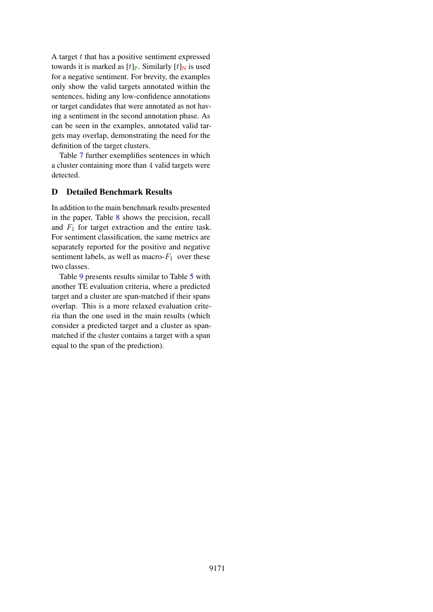A target  $t$  that has a positive sentiment expressed towards it is marked as  $[t]_P$ . Similarly  $[t]_N$  is used for a negative sentiment. For brevity, the examples only show the valid targets annotated within the sentences, hiding any low-confidence annotations or target candidates that were annotated as not having a sentiment in the second annotation phase. As can be seen in the examples, annotated valid targets may overlap, demonstrating the need for the definition of the target clusters.

Table [7](#page-15-0) further exemplifies sentences in which a cluster containing more than 4 valid targets were detected.

## <span id="page-17-0"></span>D Detailed Benchmark Results

In addition to the main benchmark results presented in the paper, Table [8](#page-18-0) shows the precision, recall and  $F_1$  for target extraction and the entire task. For sentiment classification, the same metrics are separately reported for the positive and negative sentiment labels, as well as macro- $F_1$  over these two classes.

Table [9](#page-19-0) presents results similar to Table [5](#page-8-2) with another TE evaluation criteria, where a predicted target and a cluster are span-matched if their spans overlap. This is a more relaxed evaluation criteria than the one used in the main results (which consider a predicted target and a cluster as spanmatched if the cluster contains a target with a span equal to the span of the prediction).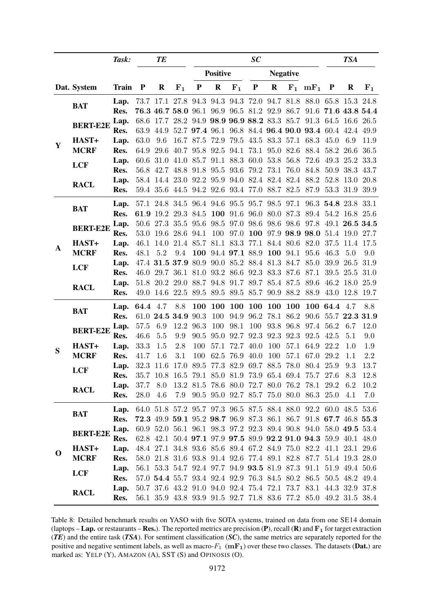<span id="page-18-0"></span>

|             |                 | Task:        |              | <b>TE</b> |                                                   |              |                 |           | SC                                 |           |                 |                                                                                                                     |                     | <b>TSA</b>     |             |
|-------------|-----------------|--------------|--------------|-----------|---------------------------------------------------|--------------|-----------------|-----------|------------------------------------|-----------|-----------------|---------------------------------------------------------------------------------------------------------------------|---------------------|----------------|-------------|
|             |                 |              |              |           |                                                   |              | <b>Positive</b> |           |                                    |           | <b>Negative</b> |                                                                                                                     |                     |                |             |
|             | Dat. System     | <b>Train</b> | $\mathbf{P}$ | R         | $F_1$                                             | $\mathbf{P}$ | $\mathbf R$     | $F_1$     | $\mathbf P$                        | $\bf R$   |                 | $F_1$ mF <sub>1</sub>                                                                                               | $\mathbf{P}$        | $\bf R$        | ${\bf F_1}$ |
|             | <b>BAT</b>      | Lap.         |              |           |                                                   |              |                 |           |                                    |           |                 | 73.7 17.1 27.8 94.3 94.3 94.3 72.0 94.7 81.8 88.0 65.8 15.3                                                         |                     |                | 24.8        |
|             |                 | Res.         |              |           |                                                   |              |                 |           |                                    |           |                 | 76.3 46.7 58.0 96.1 96.9 96.5 81.2 92.9 86.7 91.6 71.6 43.8 54.4                                                    |                     |                |             |
|             | <b>BERT-E2E</b> | Lap.         |              |           |                                                   |              |                 |           |                                    |           |                 | 68.6 17.7 28.2 94.9 98.9 96.9 88.2 83.3 85.7 91.3 64.5 16.6 26.5                                                    |                     |                |             |
|             |                 | Res.         | 63.9         | 44.9      |                                                   |              |                 |           |                                    |           |                 | 52.7 97.4 96.1 96.8 84.4 96.4 90.0 93.4 60.4 42.4 49.9                                                              |                     |                |             |
| Y           | HAST+           | Lap.         | 63.0         | 9.6       |                                                   | 16.7 87.5    |                 |           | 72.9 79.5 43.5 83.3 57.1           |           |                 | 68.3                                                                                                                | 45.0                | 6.9            | 11.9        |
|             | <b>MCRF</b>     | Res.         | 64.9         | 29.6      |                                                   |              |                 |           | 40.7 95.8 92.5 94.1 73.1 95.0 82.6 |           |                 |                                                                                                                     | 88.4 58.2 26.6      |                | 36.5        |
|             | <b>LCF</b>      | Lap.         | 60.6         | 31.0      | 41.0 85.7 91.1 88.3 60.0 53.8 56.8                |              |                 |           |                                    |           |                 | 72.6                                                                                                                |                     | 49.3 25.2 33.3 |             |
|             |                 | Res.         | 56.8         |           | 42.7 48.8                                         | 91.8         |                 |           | 95.5 93.6 79.2                     | 73.1 76.0 |                 | 84.8                                                                                                                |                     | 50.9 38.3      | 43.7        |
|             | <b>RACL</b>     | Lap.         |              |           | 58.4 14.4 23.0 92.2                               |              |                 |           | 95.9 94.0 82.4 82.4 82.4           |           |                 | 88.2<br>59.4 35.6 44.5 94.2 92.6 93.4 77.0 88.7 82.5 87.9                                                           | 53.3 31.9 39.9      | 52.8 13.0      | 20.8        |
|             |                 | Res.         |              |           |                                                   |              |                 |           |                                    |           |                 |                                                                                                                     |                     |                |             |
|             | <b>BAT</b>      | Lap.         |              |           |                                                   |              |                 |           |                                    |           |                 | 57.1 24.8 34.5 96.4 94.6 95.5 95.7 98.5 97.1 96.3 54.8 23.8 33.1                                                    |                     |                |             |
|             |                 | Res.         |              | 61.9 19.2 | 29.3 84.5                                         |              | 100             |           | 91.6 96.0                          |           | 80.0 87.3       |                                                                                                                     | 89.4 54.2 16.8 25.6 |                |             |
|             | <b>BERT-E2E</b> | Lap.         |              | 50.6 27.3 |                                                   | 35.5 95.6    | 98.5            |           | 97.0 98.6 98.6 98.6                |           |                 | 97.8                                                                                                                |                     | 49.1 26.5 34.5 |             |
|             |                 | Res.         | 53.0         |           | 19.6 28.6 94.1                                    |              | 100             |           |                                    |           |                 | 97.0 100 97.9 98.9 98.0 51.4 19.0 27.7                                                                              |                     |                |             |
| A           | HAST+           | Lap.         | 46.1         | 14.0      |                                                   |              |                 |           |                                    |           |                 | 21.4 85.7 81.1 83.3 77.1 84.4 80.6 82.0                                                                             |                     | 37.5 11.4 17.5 |             |
|             | <b>MCRF</b>     | Res.         | 48.1         | 5.2       | 9.4                                               | 100          |                 |           | 94.4 97.1 88.9 100 94.1            |           |                 | 95.6                                                                                                                | 46.3                | 5.0            | 9.0         |
|             | <b>LCF</b>      | Lap.         |              |           | 47.4 31.5 37.9 80.9 90.0 85.2 88.4 81.3 84.7      |              |                 |           |                                    |           |                 | 85.0                                                                                                                | 39.9                | 26.5           | 31.9        |
|             |                 | Res.         | 46.0         |           | 29.7 36.1 81.0                                    |              |                 |           | 93.2 86.6 92.3 83.3 87.6           |           |                 | 87.1                                                                                                                | 39.5                | 25.5           | 31.0        |
|             | <b>RACL</b>     | Lap.         | 51.8         |           | 20.2 29.0 88.7 94.8 91.7 89.7 85.4 87.5           |              |                 |           |                                    |           |                 | 89.6                                                                                                                |                     | 46.2 18.0 25.9 |             |
|             |                 | Res.         |              |           | 49.0 14.6 22.5 89.5 89.5 89.5 85.7 90.9 88.2 88.9 |              |                 |           |                                    |           |                 |                                                                                                                     |                     | 43.0 12.8 19.7 |             |
|             | <b>BAT</b>      | Lap.         | 64.4 4.7     |           | 8.8                                               | 100          | <b>100</b>      |           | 100 100                            | 100       | <b>100</b>      |                                                                                                                     | 100 64.4 4.7        |                | 8.8         |
|             |                 | Res.         |              |           | 61.0 24.5 34.9 90.3                               |              | 100             | 94.9      |                                    |           | 96.2 78.1 86.2  | 90.6                                                                                                                |                     | 55.7 22.3 31.9 |             |
|             | <b>BERT-E2E</b> | Lap.         | 57.5         | 6.9       |                                                   | 12.2 96.3    | 100             | 98.1      | 100                                |           |                 | 93.8 96.8 97.4                                                                                                      | 56.2                | 6.7            | 12.0        |
|             |                 | Res.         | 46.6         | 5.5       | 9.9                                               | 90.5         | 95.0            | 92.7      | 92.3                               | 92.3      | 92.3            | 92.5                                                                                                                | 42.5                | 5.1            | 9.0         |
| S           | HAST+           | Lap.         | 33.3         | 1.5       | 2.8                                               | 100          | 57.1            |           | 72.7 40.0                          | 100       | 57.1            | 64.9                                                                                                                | 22.2                | 1.0            | $1.9\,$     |
|             | <b>MCRF</b>     | Res.         | 41.7         | 1.6       | 3.1                                               | 100          | 62.5            | 76.9 40.0 |                                    | 100       | 57.1            | 67.0                                                                                                                | 29.2                | 1.1            | 2.2         |
|             | <b>LCF</b>      | Lap.         | 32.3         | 11.6      | 17.0 89.5                                         |              |                 |           |                                    |           |                 | 77.3 82.9 69.7 88.5 78.0 80.4 25.9                                                                                  |                     | 9.3            | 13.7        |
|             |                 | Res.         | 35.7         |           |                                                   |              |                 |           |                                    |           |                 | 10.8 16.5 79.1 85.0 81.9 73.9 65.4 69.4 75.7 27.6<br>37.7 8.0 13.2 81.5 78.6 80.0 72.7 80.0 76.2 78.1 29.2 6.2 10.2 |                     | 8.3            | 12.8        |
|             | <b>RACL</b>     | Lap.<br>Res. | 28.0 4.6     |           |                                                   |              |                 |           |                                    |           |                 | 7.9 90.5 95.0 92.7 85.7 75.0 80.0 86.3 25.0 4.1                                                                     |                     |                | 7.0         |
|             |                 |              |              |           |                                                   |              |                 |           |                                    |           |                 |                                                                                                                     |                     |                |             |
|             | <b>BAT</b>      | Lap.         |              |           |                                                   |              |                 |           |                                    |           |                 | 64.0 51.8 57.2 95.7 97.3 96.5 87.5 88.4 88.0 92.2 60.0 48.5 53.6                                                    |                     |                |             |
|             |                 | Res.         |              |           |                                                   |              |                 |           |                                    |           |                 | 72.3 49.9 59.1 95.2 98.7 96.9 87.3 86.1 86.7 91.8 67.7 46.8 55.3                                                    |                     |                |             |
|             | <b>BERT-E2E</b> | Lap.         |              |           |                                                   |              |                 |           |                                    |           |                 | 60.9 52.0 56.1 96.1 98.3 97.2 92.3 89.4 90.8 94.0 58.0 49.5 53.4                                                    |                     |                |             |
|             |                 | Res.         |              |           |                                                   |              |                 |           |                                    |           |                 | 62.8 42.1 50.4 97.1 97.9 97.5 89.9 92.2 91.0 94.3 59.9 40.1 48.0                                                    |                     |                |             |
| $\mathbf 0$ | HAST+           | Lap.         |              |           |                                                   |              |                 |           |                                    |           |                 | 48.4 27.1 34.8 93.6 85.6 89.4 67.2 84.9 75.0 82.2 41.1 23.1 29.6                                                    |                     |                |             |
|             | <b>MCRF</b>     | Res.         |              |           |                                                   |              |                 |           |                                    |           |                 | 58.0 21.8 31.6 93.8 91.4 92.6 77.4 89.1 82.8 87.7 51.4 19.3 28.0                                                    |                     |                |             |
|             | <b>LCF</b>      | Lap.         |              |           |                                                   |              |                 |           |                                    |           |                 | 56.1 53.3 54.7 92.4 97.7 94.9 93.5 81.9 87.3 91.1 51.9 49.4 50.6                                                    |                     |                |             |
|             |                 | Res.         |              |           |                                                   |              |                 |           |                                    |           |                 | 57.0 54.4 55.7 93.4 92.4 92.9 76.3 84.5 80.2 86.5 50.5 48.2 49.4                                                    |                     |                |             |
|             | <b>RACL</b>     | Lap.         |              |           |                                                   |              |                 |           |                                    |           |                 | 50.7 37.6 43.2 91.0 94.0 92.4 75.4 72.1 73.7 83.1 44.3 32.9 37.8                                                    |                     |                |             |
|             |                 | Res.         |              |           |                                                   |              |                 |           |                                    |           |                 | 56.1 35.9 43.8 93.9 91.5 92.7 71.8 83.6 77.2 85.0 49.2 31.5 38.4                                                    |                     |                |             |

Table 8: Detailed benchmark results on YASO with five SOTA systems, trained on data from one SE14 domain (laptops – Lap. or restaurants – Res.). The reported metrics are precision (P), recall (R) and  $F_1$  for target extraction (*TE*) and the entire task (*TSA*). For sentiment classification (*SC*), the same metrics are separately reported for the positive and negative sentiment labels, as well as macro- $F_1$  (mF<sub>1</sub>) over these two classes. The datasets (**Dat.**) are marked as: YELP (Y), AMAZON (A), SST (S) and OPINOSIS (O).